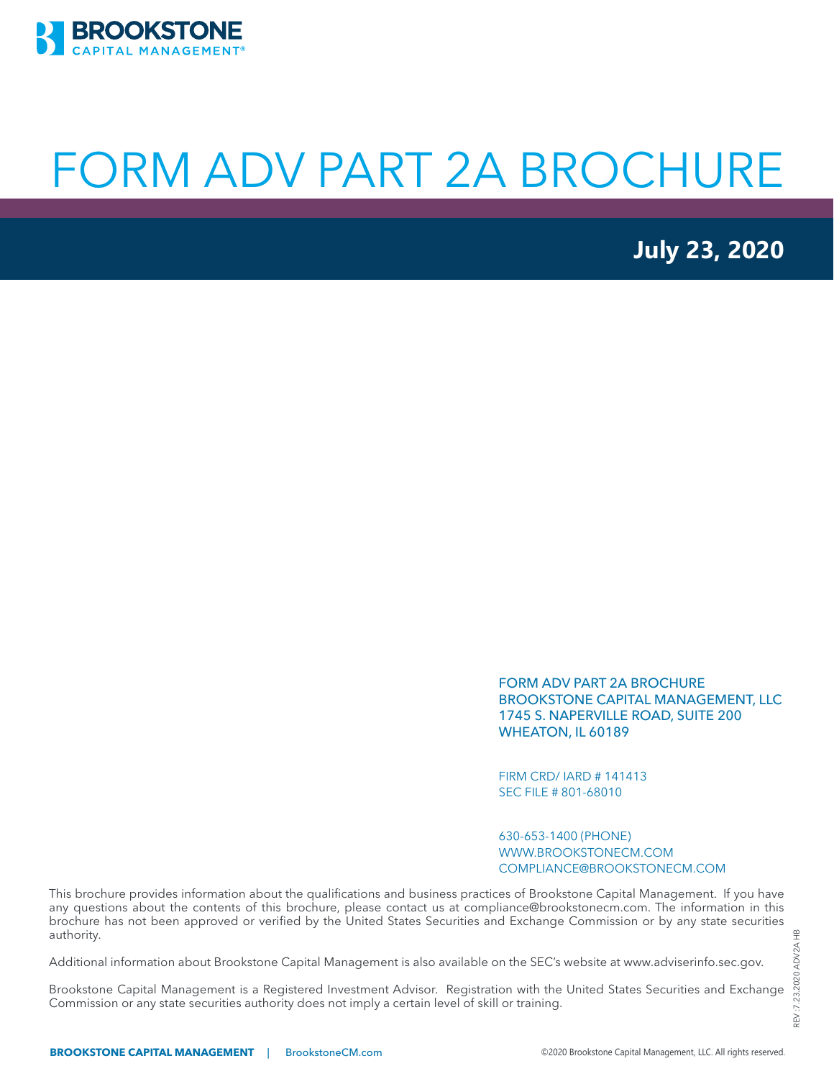

# FORM ADV PART 2A BROCHURE

**July 23, 2020**

FORM ADV PART 2A BROCHURE BROOKSTONE CAPITAL MANAGEMENT, LLC 1745 S. NAPERVILLE ROAD, SUITE 200 WHEATON, IL 60189

FIRM CRD/ IARD # 141413 SEC FILE # 801-68010

630-653-1400 (PHONE) WWW.BROOKSTONECM.COM COMPLIANCE@BROOKSTONECM.COM

This brochure provides information about the qualifications and business practices of Brookstone Capital Management. If you have any questions about the contents of this brochure, please contact us at compliance@brookstonecm.com. The information in this brochure has not been approved or verified by the United States Securities and Exchange Commission or by any state securities authority.

Additional information about Brookstone Capital Management is also available on the SEC's website at www.adviserinfo.sec.gov.

Brookstone Capital Management is a Registered Investment Advisor. Registration with the United States Securities and Exchange Commission or any state securities authority does not imply a certain level of skill or training.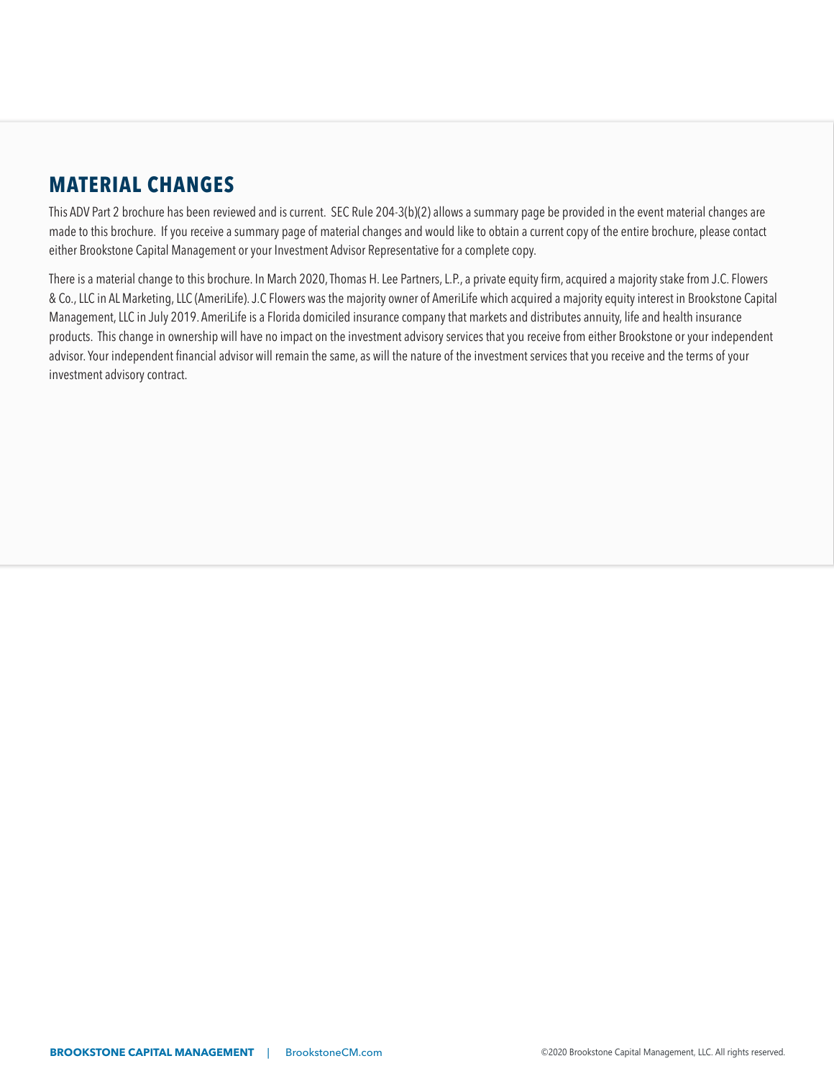# <span id="page-1-0"></span>**MATERIAL CHANGES**

This ADV Part 2 brochure has been reviewed and is current. SEC Rule 204-3(b)(2) allows a summary page be provided in the event material changes are made to this brochure. If you receive a summary page of material changes and would like to obtain a current copy of the entire brochure, please contact either Brookstone Capital Management or your Investment Advisor Representative for a complete copy.

There is a material change to this brochure. In March 2020, Thomas H. Lee Partners, L.P., a private equity firm, acquired a majority stake from J.C. Flowers & Co., LLC in AL Marketing, LLC (AmeriLife). J.C Flowers was the majority owner of AmeriLife which acquired a majority equity interest in Brookstone Capital Management, LLC in July 2019. AmeriLife is a Florida domiciled insurance company that markets and distributes annuity, life and health insurance products. This change in ownership will have no impact on the investment advisory services that you receive from either Brookstone or your independent advisor. Your independent financial advisor will remain the same, as will the nature of the investment services that you receive and the terms of your investment advisory contract.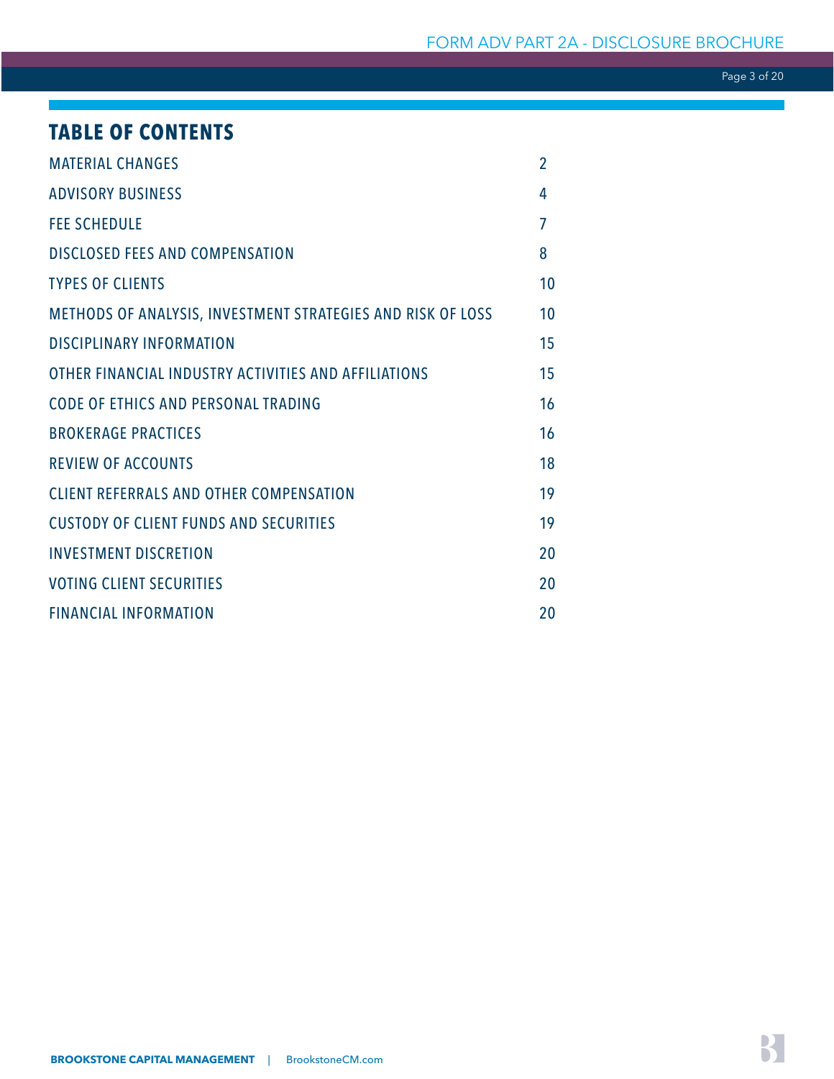Page 3 of 20

# **TABLE OF CONTENTS**

| <b>MATERIAL CHANGES</b>                                     | $\overline{2}$ |
|-------------------------------------------------------------|----------------|
| <b>ADVISORY BUSINESS</b>                                    | 4              |
| <b>FEE SCHEDULE</b>                                         | $\overline{7}$ |
| <b>DISCLOSED FEES AND COMPENSATION</b>                      | 8              |
| <b>TYPES OF CLIENTS</b>                                     | 10             |
| METHODS OF ANALYSIS, INVESTMENT STRATEGIES AND RISK OF LOSS | 10             |
| <b>DISCIPLINARY INFORMATION</b>                             | 15             |
| OTHER FINANCIAL INDUSTRY ACTIVITIES AND AFFILIATIONS        | 15             |
| <b>CODE OF ETHICS AND PERSONAL TRADING</b>                  | 16             |
| <b>BROKERAGE PRACTICES</b>                                  | 16             |
| <b>REVIEW OF ACCOUNTS</b>                                   | 18             |
| <b>CLIENT REFERRALS AND OTHER COMPENSATION</b>              | 19             |
| <b>CUSTODY OF CLIENT FUNDS AND SECURITIES</b>               | 19             |
| <b>INVESTMENT DISCRETION</b>                                | 20             |
| <b>VOTING CLIENT SECURITIES</b>                             | 20             |
| <b>FINANCIAL INFORMATION</b>                                | 20             |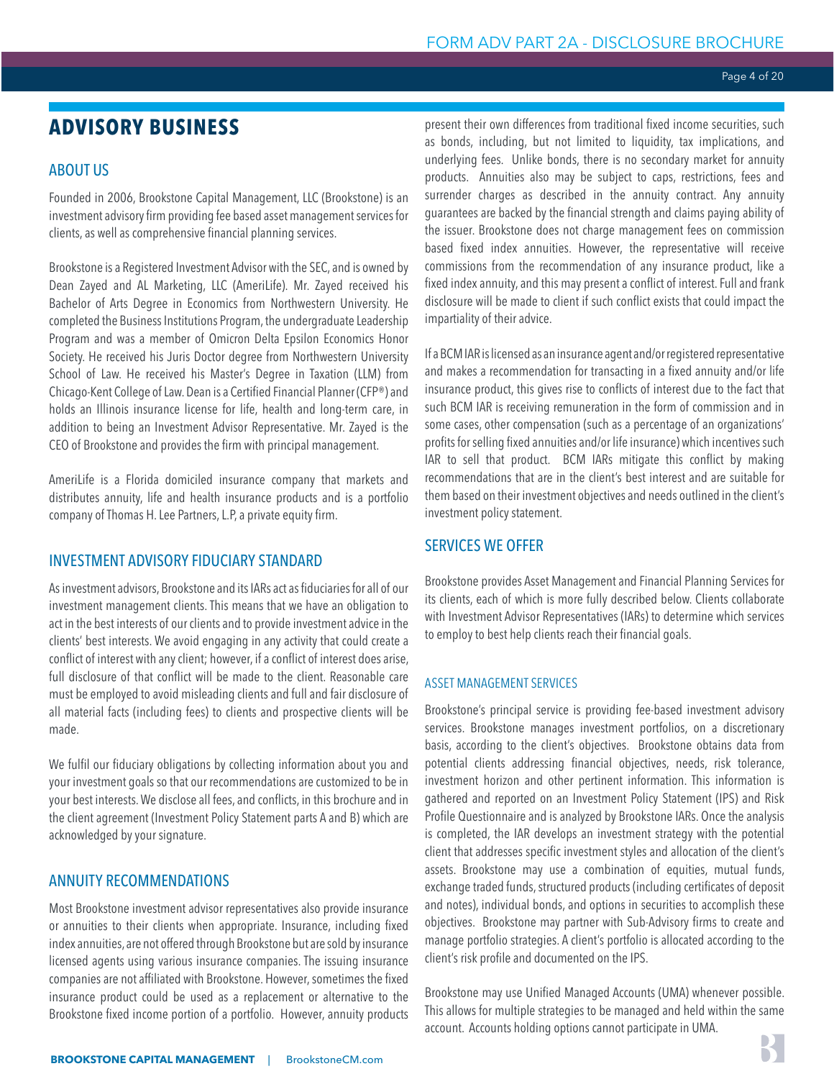# <span id="page-3-0"></span>**ADVISORY BUSINESS**

# ABOUT US

Founded in 2006, Brookstone Capital Management, LLC (Brookstone) is an investment advisory firm providing fee based asset management services for clients, as well as comprehensive financial planning services.

Brookstone is a Registered Investment Advisor with the SEC, and is owned by Dean Zayed and AL Marketing, LLC (AmeriLife). Mr. Zayed received his Bachelor of Arts Degree in Economics from Northwestern University. He completed the Business Institutions Program, the undergraduate Leadership Program and was a member of Omicron Delta Epsilon Economics Honor Society. He received his Juris Doctor degree from Northwestern University School of Law. He received his Master's Degree in Taxation (LLM) from Chicago-Kent College of Law. Dean is a Certified Financial Planner (CFP®) and holds an Illinois insurance license for life, health and long-term care, in addition to being an Investment Advisor Representative. Mr. Zayed is the CEO of Brookstone and provides the firm with principal management.

AmeriLife is a Florida domiciled insurance company that markets and distributes annuity, life and health insurance products and is a portfolio company of Thomas H. Lee Partners, L.P, a private equity firm.

# INVESTMENT ADVISORY FIDUCIARY STANDARD

As investment advisors, Brookstone and its IARs act as fiduciaries for all of our investment management clients. This means that we have an obligation to act in the best interests of our clients and to provide investment advice in the clients' best interests. We avoid engaging in any activity that could create a conflict of interest with any client; however, if a conflict of interest does arise, full disclosure of that conflict will be made to the client. Reasonable care must be employed to avoid misleading clients and full and fair disclosure of all material facts (including fees) to clients and prospective clients will be made.

We fulfil our fiduciary obligations by collecting information about you and your investment goals so that our recommendations are customized to be in your best interests. We disclose all fees, and conflicts, in this brochure and in the client agreement (Investment Policy Statement parts A and B) which are acknowledged by your signature.

# ANNUITY RECOMMENDATIONS

Most Brookstone investment advisor representatives also provide insurance or annuities to their clients when appropriate. Insurance, including fixed index annuities, are not offered through Brookstone but are sold by insurance licensed agents using various insurance companies. The issuing insurance companies are not affiliated with Brookstone. However, sometimes the fixed insurance product could be used as a replacement or alternative to the Brookstone fixed income portion of a portfolio. However, annuity products present their own differences from traditional fixed income securities, such as bonds, including, but not limited to liquidity, tax implications, and underlying fees. Unlike bonds, there is no secondary market for annuity products. Annuities also may be subject to caps, restrictions, fees and surrender charges as described in the annuity contract. Any annuity guarantees are backed by the financial strength and claims paying ability of the issuer. Brookstone does not charge management fees on commission based fixed index annuities. However, the representative will receive commissions from the recommendation of any insurance product, like a fixed index annuity, and this may present a conflict of interest. Full and frank disclosure will be made to client if such conflict exists that could impact the impartiality of their advice.

If a BCM IAR is licensed as an insurance agent and/or registered representative and makes a recommendation for transacting in a fixed annuity and/or life insurance product, this gives rise to conflicts of interest due to the fact that such BCM IAR is receiving remuneration in the form of commission and in some cases, other compensation (such as a percentage of an organizations' profits for selling fixed annuities and/or life insurance) which incentives such IAR to sell that product. BCM IARs mitigate this conflict by making recommendations that are in the client's best interest and are suitable for them based on their investment objectives and needs outlined in the client's investment policy statement.

### SERVICES WE OFFER

Brookstone provides Asset Management and Financial Planning Services for its clients, each of which is more fully described below. Clients collaborate with Investment Advisor Representatives (IARs) to determine which services to employ to best help clients reach their financial goals.

### ASSET MANAGEMENT SERVICES

Brookstone's principal service is providing fee-based investment advisory services. Brookstone manages investment portfolios, on a discretionary basis, according to the client's objectives. Brookstone obtains data from potential clients addressing financial objectives, needs, risk tolerance, investment horizon and other pertinent information. This information is gathered and reported on an Investment Policy Statement (IPS) and Risk Profile Questionnaire and is analyzed by Brookstone IARs. Once the analysis is completed, the IAR develops an investment strategy with the potential client that addresses specific investment styles and allocation of the client's assets. Brookstone may use a combination of equities, mutual funds, exchange traded funds, structured products (including certificates of deposit and notes), individual bonds, and options in securities to accomplish these objectives. Brookstone may partner with Sub-Advisory firms to create and manage portfolio strategies. A client's portfolio is allocated according to the client's risk profile and documented on the IPS.

Brookstone may use Unified Managed Accounts (UMA) whenever possible. This allows for multiple strategies to be managed and held within the same account. Accounts holding options cannot participate in UMA.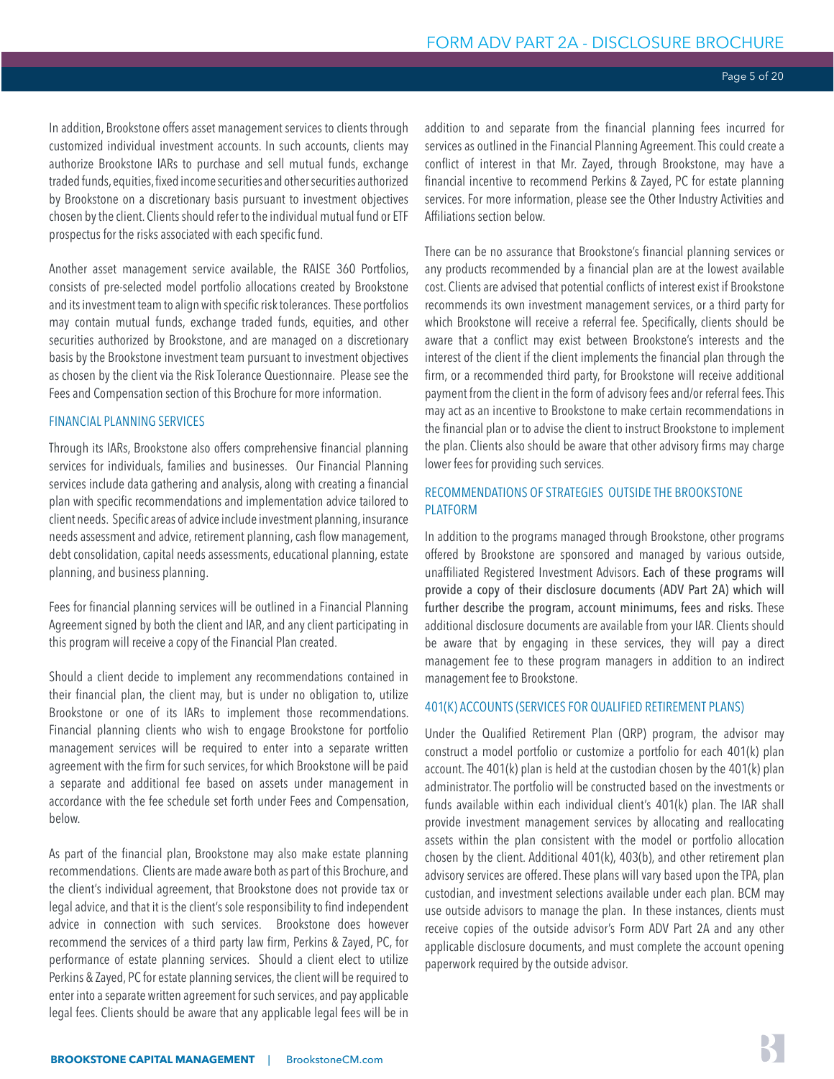In addition, Brookstone offers asset management services to clients through customized individual investment accounts. In such accounts, clients may authorize Brookstone IARs to purchase and sell mutual funds, exchange traded funds, equities, fixed income securities and other securities authorized by Brookstone on a discretionary basis pursuant to investment objectives chosen by the client. Clients should refer to the individual mutual fund or ETF prospectus for the risks associated with each specific fund.

Another asset management service available, the RAISE 360 Portfolios, consists of pre-selected model portfolio allocations created by Brookstone and its investment team to align with specific risk tolerances. These portfolios may contain mutual funds, exchange traded funds, equities, and other securities authorized by Brookstone, and are managed on a discretionary basis by the Brookstone investment team pursuant to investment objectives as chosen by the client via the Risk Tolerance Questionnaire. Please see the Fees and Compensation section of this Brochure for more information.

#### FINANCIAL PLANNING SERVICES

Through its IARs, Brookstone also offers comprehensive financial planning services for individuals, families and businesses. Our Financial Planning services include data gathering and analysis, along with creating a financial plan with specific recommendations and implementation advice tailored to client needs. Specific areas of advice include investment planning, insurance needs assessment and advice, retirement planning, cash flow management, debt consolidation, capital needs assessments, educational planning, estate planning, and business planning.

Fees for financial planning services will be outlined in a Financial Planning Agreement signed by both the client and IAR, and any client participating in this program will receive a copy of the Financial Plan created.

Should a client decide to implement any recommendations contained in their financial plan, the client may, but is under no obligation to, utilize Brookstone or one of its IARs to implement those recommendations. Financial planning clients who wish to engage Brookstone for portfolio management services will be required to enter into a separate written agreement with the firm for such services, for which Brookstone will be paid a separate and additional fee based on assets under management in accordance with the fee schedule set forth under Fees and Compensation, below.

As part of the financial plan, Brookstone may also make estate planning recommendations. Clients are made aware both as part of this Brochure, and the client's individual agreement, that Brookstone does not provide tax or legal advice, and that it is the client's sole responsibility to find independent advice in connection with such services. Brookstone does however recommend the services of a third party law firm, Perkins & Zayed, PC, for performance of estate planning services. Should a client elect to utilize Perkins & Zayed, PC for estate planning services, the client will be required to enter into a separate written agreement for such services, and pay applicable legal fees. Clients should be aware that any applicable legal fees will be in

addition to and separate from the financial planning fees incurred for services as outlined in the Financial Planning Agreement. This could create a conflict of interest in that Mr. Zayed, through Brookstone, may have a financial incentive to recommend Perkins & Zayed, PC for estate planning services. For more information, please see the Other Industry Activities and Affiliations section below.

There can be no assurance that Brookstone's financial planning services or any products recommended by a financial plan are at the lowest available cost. Clients are advised that potential conflicts of interest exist if Brookstone recommends its own investment management services, or a third party for which Brookstone will receive a referral fee. Specifically, clients should be aware that a conflict may exist between Brookstone's interests and the interest of the client if the client implements the financial plan through the firm, or a recommended third party, for Brookstone will receive additional payment from the client in the form of advisory fees and/or referral fees. This may act as an incentive to Brookstone to make certain recommendations in the financial plan or to advise the client to instruct Brookstone to implement the plan. Clients also should be aware that other advisory firms may charge lower fees for providing such services.

#### RECOMMENDATIONS OF STRATEGIES OUTSIDE THE BROOKSTONE PLATFORM

In addition to the programs managed through Brookstone, other programs offered by Brookstone are sponsored and managed by various outside, unaffiliated Registered Investment Advisors. Each of these programs will provide a copy of their disclosure documents (ADV Part 2A) which will further describe the program, account minimums, fees and risks. These additional disclosure documents are available from your IAR. Clients should be aware that by engaging in these services, they will pay a direct management fee to these program managers in addition to an indirect management fee to Brookstone.

#### 401(K) ACCOUNTS (SERVICES FOR QUALIFIED RETIREMENT PLANS)

Under the Qualified Retirement Plan (QRP) program, the advisor may construct a model portfolio or customize a portfolio for each 401(k) plan account. The 401(k) plan is held at the custodian chosen by the 401(k) plan administrator. The portfolio will be constructed based on the investments or funds available within each individual client's 401(k) plan. The IAR shall provide investment management services by allocating and reallocating assets within the plan consistent with the model or portfolio allocation chosen by the client. Additional 401(k), 403(b), and other retirement plan advisory services are offered. These plans will vary based upon the TPA, plan custodian, and investment selections available under each plan. BCM may use outside advisors to manage the plan. In these instances, clients must receive copies of the outside advisor's Form ADV Part 2A and any other applicable disclosure documents, and must complete the account opening paperwork required by the outside advisor.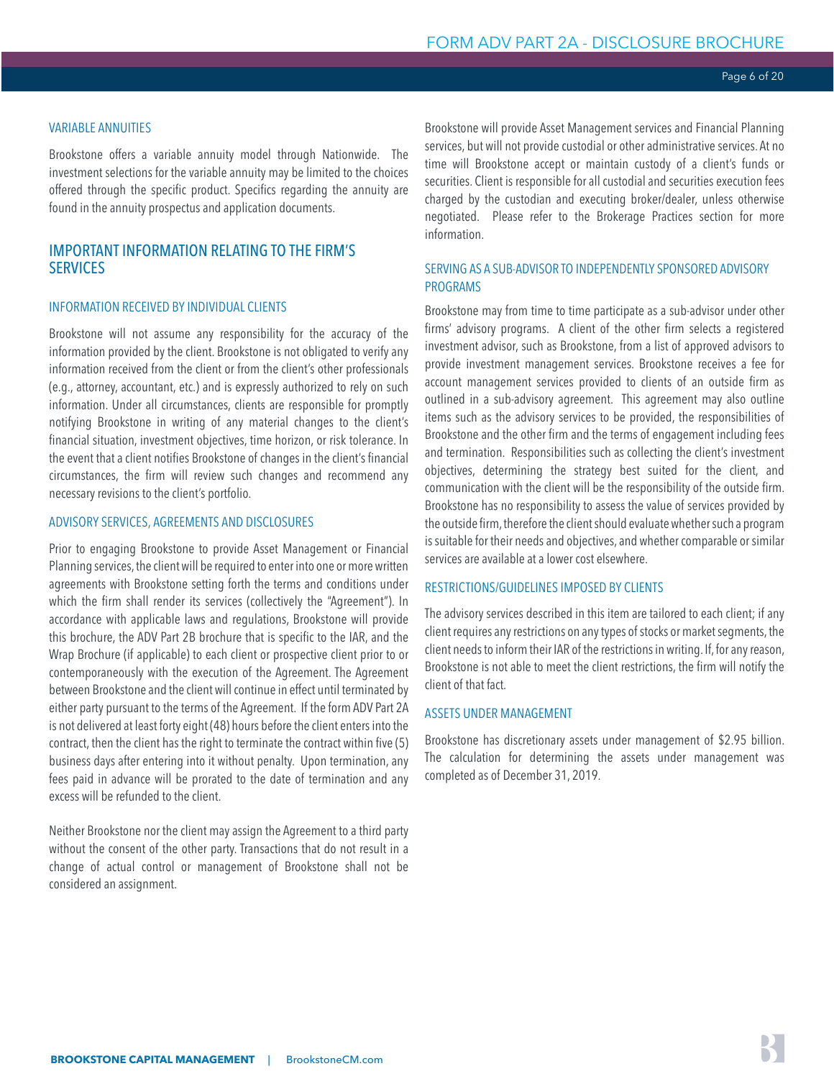### <span id="page-5-0"></span>VARIABLE ANNUITIES

Brookstone offers a variable annuity model through Nationwide. The investment selections for the variable annuity may be limited to the choices offered through the specific product. Specifics regarding the annuity are found in the annuity prospectus and application documents.

# IMPORTANT INFORMATION RELATING TO THE FIRM'S **SERVICES**

### INFORMATION RECEIVED BY INDIVIDUAL CLIENTS

Brookstone will not assume any responsibility for the accuracy of the information provided by the client. Brookstone is not obligated to verify any information received from the client or from the client's other professionals (e.g., attorney, accountant, etc.) and is expressly authorized to rely on such information. Under all circumstances, clients are responsible for promptly notifying Brookstone in writing of any material changes to the client's financial situation, investment objectives, time horizon, or risk tolerance. In the event that a client notifies Brookstone of changes in the client's financial circumstances, the firm will review such changes and recommend any necessary revisions to the client's portfolio.

#### ADVISORY SERVICES, AGREEMENTS AND DISCLOSURES

Prior to engaging Brookstone to provide Asset Management or Financial Planning services, the client will be required to enter into one or more written agreements with Brookstone setting forth the terms and conditions under which the firm shall render its services (collectively the "Agreement"). In accordance with applicable laws and regulations, Brookstone will provide this brochure, the ADV Part 2B brochure that is specific to the IAR, and the Wrap Brochure (if applicable) to each client or prospective client prior to or contemporaneously with the execution of the Agreement. The Agreement between Brookstone and the client will continue in effect until terminated by either party pursuant to the terms of the Agreement. If the form ADV Part 2A is not delivered at least forty eight (48) hours before the client enters into the contract, then the client has the right to terminate the contract within five (5) business days after entering into it without penalty. Upon termination, any fees paid in advance will be prorated to the date of termination and any excess will be refunded to the client.

Neither Brookstone nor the client may assign the Agreement to a third party without the consent of the other party. Transactions that do not result in a change of actual control or management of Brookstone shall not be considered an assignment.

Brookstone will provide Asset Management services and Financial Planning services, but will not provide custodial or other administrative services. At no time will Brookstone accept or maintain custody of a client's funds or securities. Client is responsible for all custodial and securities execution fees charged by the custodian and executing broker/dealer, unless otherwise negotiated. Please refer to the Brokerage Practices section for more information.

### SERVING AS A SUB-ADVISOR TO INDEPENDENTLY SPONSORED ADVISORY PROGRAMS

Brookstone may from time to time participate as a sub-advisor under other firms' advisory programs. A client of the other firm selects a registered investment advisor, such as Brookstone, from a list of approved advisors to provide investment management services. Brookstone receives a fee for account management services provided to clients of an outside firm as outlined in a sub-advisory agreement. This agreement may also outline items such as the advisory services to be provided, the responsibilities of Brookstone and the other firm and the terms of engagement including fees and termination. Responsibilities such as collecting the client's investment objectives, determining the strategy best suited for the client, and communication with the client will be the responsibility of the outside firm. Brookstone has no responsibility to assess the value of services provided by the outside firm, therefore the client should evaluate whether such a program is suitable for their needs and objectives, and whether comparable or similar services are available at a lower cost elsewhere.

### RESTRICTIONS/GUIDELINES IMPOSED BY CLIENTS

The advisory services described in this item are tailored to each client; if any client requires any restrictions on any types of stocks or market segments, the client needs to inform their IAR of the restrictions in writing. If, for any reason, Brookstone is not able to meet the client restrictions, the firm will notify the client of that fact.

# ASSETS UNDER MANAGEMENT

Brookstone has discretionary assets under management of \$2.95 billion. The calculation for determining the assets under management was completed as of December 31, 2019.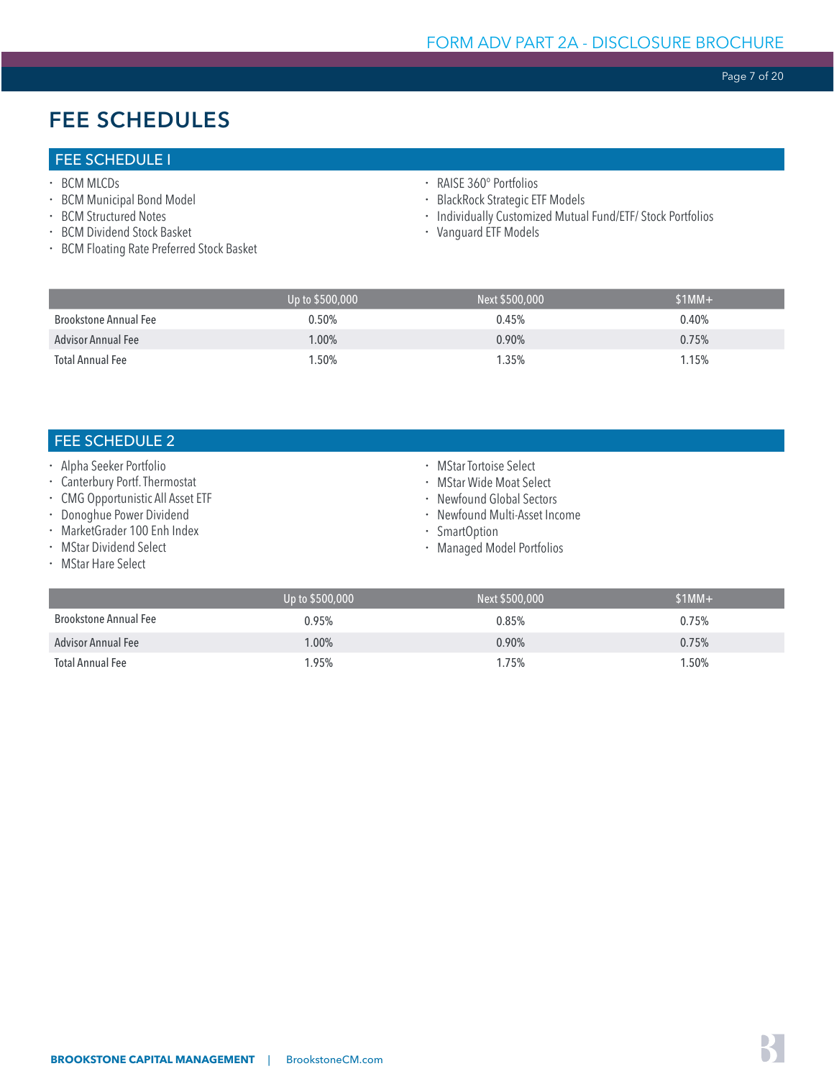Page 7 of 20

# <span id="page-6-0"></span>FEE SCHEDULES

# FEE SCHEDULE I

- · BCM MLCDs
- **· BCM Municipal Bond Model**
- BCM Structured Notes
- x BCM Dividend Stock Basket
- x BCM Floating Rate Preferred Stock Basket
- x RAISE 360° Portfolios
- x BlackRock Strategic ETF Models
- x Individually Customized Mutual Fund/ETF/ Stock Portfolios
- x Vanguard ETF Models

|                              | Up to \$500,000 | Next \$500,000 | $$1MM+$ |
|------------------------------|-----------------|----------------|---------|
| <b>Brookstone Annual Fee</b> | 0.50%           | 0.45%          | 0.40%   |
| <b>Advisor Annual Fee</b>    | $1.00\%$        | 0.90%          | 0.75%   |
| <b>Total Annual Fee</b>      | 1.50%           | 1.35%          | 1.15%   |

# FEE SCHEDULE 2

- · Alpha Seeker Portfolio
- x Canterbury Portf. Thermostat
- x CMG Opportunistic All Asset ETF
- · Donoghue Power Dividend
- x MarketGrader 100 Enh Index
- **· MStar Dividend Select**
- MStar Hare Select
- MStar Tortoise Select
- \* MStar Wide Moat Select
- · Newfound Global Sectors
- x Newfound Multi-Asset Income
- · SmartOption
- x Managed Model Portfolios

|                           | Up to \$500,000 | Next \$500,000 | $$1MM+$ |
|---------------------------|-----------------|----------------|---------|
| Brookstone Annual Fee     | 0.95%           | 0.85%          | 0.75%   |
| <b>Advisor Annual Fee</b> | $1.00\%$        | 0.90%          | 0.75%   |
| Total Annual Fee          | 1.95%           | 1.75%          | 1.50%   |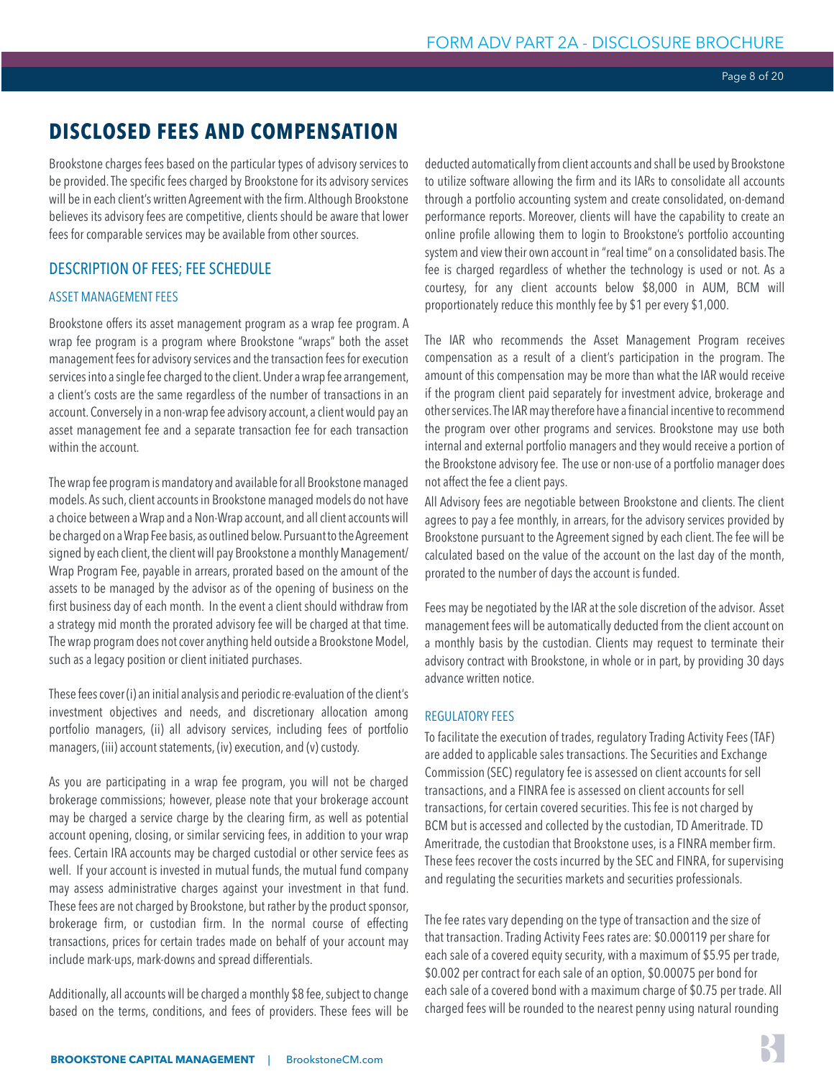# <span id="page-7-0"></span>**DISCLOSED FEES AND COMPENSATION**

Brookstone charges fees based on the particular types of advisory services to be provided. The specific fees charged by Brookstone for its advisory services will be in each client's written Agreement with the firm. Although Brookstone believes its advisory fees are competitive, clients should be aware that lower fees for comparable services may be available from other sources.

# DESCRIPTION OF FEES; FEE SCHEDULE

# ASSET MANAGEMENT FEES

Brookstone offers its asset management program as a wrap fee program. A wrap fee program is a program where Brookstone "wraps" both the asset management fees for advisory services and the transaction fees for execution services into a single fee charged to the client. Under a wrap fee arrangement, a client's costs are the same regardless of the number of transactions in an account. Conversely in a non-wrap fee advisory account, a client would pay an asset management fee and a separate transaction fee for each transaction within the account.

The wrap fee program is mandatory and available for all Brookstone managed models. As such, client accounts in Brookstone managed models do not have a choice between a Wrap and a Non-Wrap account, and all client accounts will be charged on a Wrap Fee basis, as outlined below. Pursuant to the Agreement signed by each client, the client will pay Brookstone a monthly Management/ Wrap Program Fee, payable in arrears, prorated based on the amount of the assets to be managed by the advisor as of the opening of business on the first business day of each month. In the event a client should withdraw from a strategy mid month the prorated advisory fee will be charged at that time. The wrap program does not cover anything held outside a Brookstone Model, such as a legacy position or client initiated purchases.

These fees cover (i) an initial analysis and periodic re-evaluation of the client's investment objectives and needs, and discretionary allocation among portfolio managers, (ii) all advisory services, including fees of portfolio managers, (iii) account statements, (iv) execution, and (v) custody.

As you are participating in a wrap fee program, you will not be charged brokerage commissions; however, please note that your brokerage account may be charged a service charge by the clearing firm, as well as potential account opening, closing, or similar servicing fees, in addition to your wrap fees. Certain IRA accounts may be charged custodial or other service fees as well. If your account is invested in mutual funds, the mutual fund company may assess administrative charges against your investment in that fund. These fees are not charged by Brookstone, but rather by the product sponsor, brokerage firm, or custodian firm. In the normal course of effecting transactions, prices for certain trades made on behalf of your account may include mark-ups, mark-downs and spread differentials.

Additionally, all accounts will be charged a monthly \$8 fee, subject to change based on the terms, conditions, and fees of providers. These fees will be deducted automatically from client accounts and shall be used by Brookstone to utilize software allowing the firm and its IARs to consolidate all accounts through a portfolio accounting system and create consolidated, on-demand performance reports. Moreover, clients will have the capability to create an online profile allowing them to login to Brookstone's portfolio accounting system and view their own account in "real time" on a consolidated basis. The fee is charged regardless of whether the technology is used or not. As a courtesy, for any client accounts below \$8,000 in AUM, BCM will proportionately reduce this monthly fee by \$1 per every \$1,000.

The IAR who recommends the Asset Management Program receives compensation as a result of a client's participation in the program. The amount of this compensation may be more than what the IAR would receive if the program client paid separately for investment advice, brokerage and other services. The IAR may therefore have a financial incentive to recommend the program over other programs and services. Brookstone may use both internal and external portfolio managers and they would receive a portion of the Brookstone advisory fee. The use or non-use of a portfolio manager does not affect the fee a client pays.

All Advisory fees are negotiable between Brookstone and clients. The client agrees to pay a fee monthly, in arrears, for the advisory services provided by Brookstone pursuant to the Agreement signed by each client. The fee will be calculated based on the value of the account on the last day of the month, prorated to the number of days the account is funded.

Fees may be negotiated by the IAR at the sole discretion of the advisor. Asset management fees will be automatically deducted from the client account on a monthly basis by the custodian. Clients may request to terminate their advisory contract with Brookstone, in whole or in part, by providing 30 days advance written notice.

# REGULATORY FFFS

To facilitate the execution of trades, regulatory Trading Activity Fees (TAF) are added to applicable sales transactions. The Securities and Exchange Commission (SEC) regulatory fee is assessed on client accounts for sell transactions, and a FINRA fee is assessed on client accounts for sell transactions, for certain covered securities. This fee is not charged by BCM but is accessed and collected by the custodian, TD Ameritrade. TD Ameritrade, the custodian that Brookstone uses, is a FINRA member firm. These fees recover the costs incurred by the SEC and FINRA, for supervising and regulating the securities markets and securities professionals.

The fee rates vary depending on the type of transaction and the size of that transaction. Trading Activity Fees rates are: \$0.000119 per share for each sale of a covered equity security, with a maximum of \$5.95 per trade, \$0.002 per contract for each sale of an option, \$0.00075 per bond for each sale of a covered bond with a maximum charge of \$0.75 per trade. All charged fees will be rounded to the nearest penny using natural rounding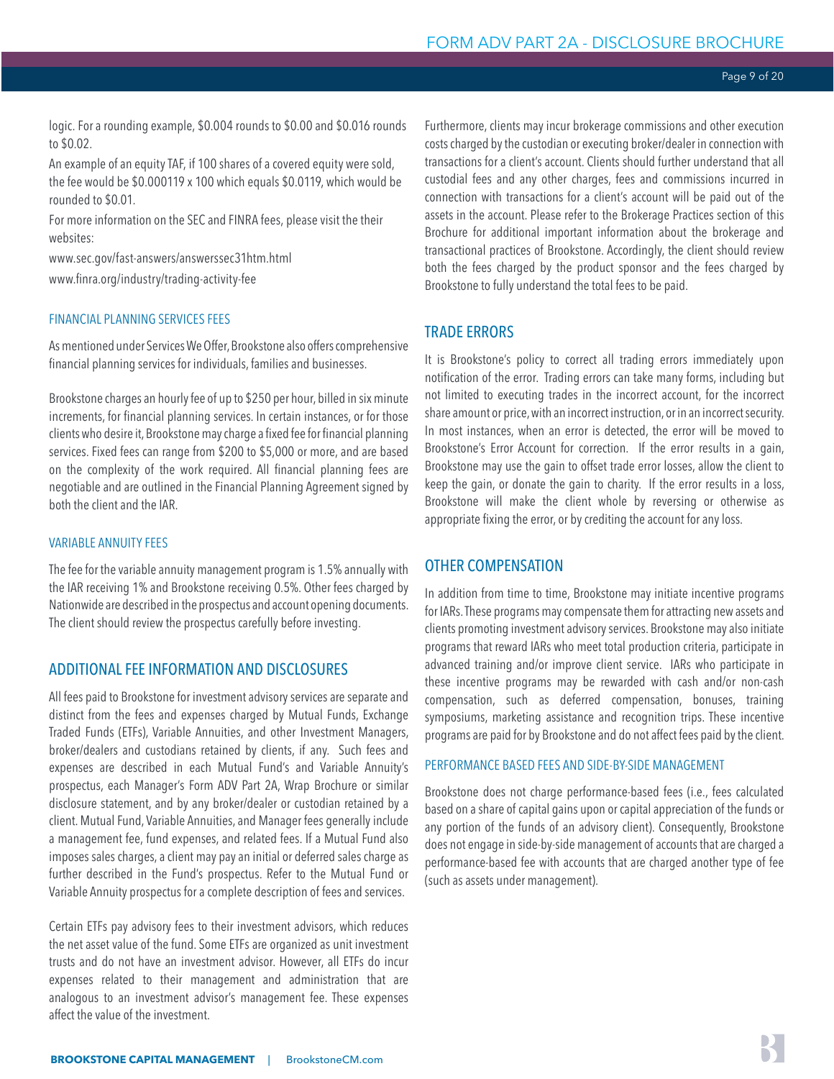<span id="page-8-0"></span>logic. For a rounding example, \$0.004 rounds to \$0.00 and \$0.016 rounds to \$0.02.

An example of an equity TAF, if 100 shares of a covered equity were sold, the fee would be \$0.000119 x 100 which equals \$0.0119, which would be rounded to \$0.01.

For more information on the SEC and FINRA fees, please visit the their websites:

www.sec.gov/fast-answers/answerssec31htm.html www.finra.org/industry/trading-activity-fee

# FINANCIAL PLANNING SERVICES FEES

As mentioned under Services We Offer, Brookstone also offers comprehensive financial planning services for individuals, families and businesses.

Brookstone charges an hourly fee of up to \$250 per hour, billed in six minute increments, for financial planning services. In certain instances, or for those clients who desire it, Brookstone may charge a fixed fee for financial planning services. Fixed fees can range from \$200 to \$5,000 or more, and are based on the complexity of the work required. All financial planning fees are negotiable and are outlined in the Financial Planning Agreement signed by both the client and the IAR.

#### VARIABLE ANNUITY FEES

The fee for the variable annuity management program is 1.5% annually with the IAR receiving 1% and Brookstone receiving 0.5%. Other fees charged by Nationwide are described in the prospectus and account opening documents. The client should review the prospectus carefully before investing.

#### ADDITIONAL FEE INFORMATION AND DISCLOSURES

All fees paid to Brookstone for investment advisory services are separate and distinct from the fees and expenses charged by Mutual Funds, Exchange Traded Funds (ETFs), Variable Annuities, and other Investment Managers, broker/dealers and custodians retained by clients, if any. Such fees and expenses are described in each Mutual Fund's and Variable Annuity's prospectus, each Manager's Form ADV Part 2A, Wrap Brochure or similar disclosure statement, and by any broker/dealer or custodian retained by a client. Mutual Fund, Variable Annuities, and Manager fees generally include a management fee, fund expenses, and related fees. If a Mutual Fund also imposes sales charges, a client may pay an initial or deferred sales charge as further described in the Fund's prospectus. Refer to the Mutual Fund or Variable Annuity prospectus for a complete description of fees and services.

Certain ETFs pay advisory fees to their investment advisors, which reduces the net asset value of the fund. Some ETFs are organized as unit investment trusts and do not have an investment advisor. However, all ETFs do incur expenses related to their management and administration that are analogous to an investment advisor's management fee. These expenses affect the value of the investment.

Furthermore, clients may incur brokerage commissions and other execution costs charged by the custodian or executing broker/dealer in connection with transactions for a client's account. Clients should further understand that all custodial fees and any other charges, fees and commissions incurred in connection with transactions for a client's account will be paid out of the assets in the account. Please refer to the Brokerage Practices section of this Brochure for additional important information about the brokerage and transactional practices of Brookstone. Accordingly, the client should review both the fees charged by the product sponsor and the fees charged by Brookstone to fully understand the total fees to be paid.

### TRADE ERRORS

It is Brookstone's policy to correct all trading errors immediately upon notification of the error. Trading errors can take many forms, including but not limited to executing trades in the incorrect account, for the incorrect share amount or price, with an incorrect instruction, or in an incorrect security. In most instances, when an error is detected, the error will be moved to Brookstone's Error Account for correction. If the error results in a gain, Brookstone may use the gain to offset trade error losses, allow the client to keep the gain, or donate the gain to charity. If the error results in a loss, Brookstone will make the client whole by reversing or otherwise as appropriate fixing the error, or by crediting the account for any loss.

### OTHER COMPENSATION

In addition from time to time, Brookstone may initiate incentive programs for IARs. These programs may compensate them for attracting new assets and clients promoting investment advisory services. Brookstone may also initiate programs that reward IARs who meet total production criteria, participate in advanced training and/or improve client service. IARs who participate in these incentive programs may be rewarded with cash and/or non-cash compensation, such as deferred compensation, bonuses, training symposiums, marketing assistance and recognition trips. These incentive programs are paid for by Brookstone and do not affect fees paid by the client.

#### PERFORMANCE BASED FEES AND SIDE-BY-SIDE MANAGEMENT

Brookstone does not charge performance-based fees (i.e., fees calculated based on a share of capital gains upon or capital appreciation of the funds or any portion of the funds of an advisory client). Consequently, Brookstone does not engage in side-by-side management of accounts that are charged a performance-based fee with accounts that are charged another type of fee (such as assets under management).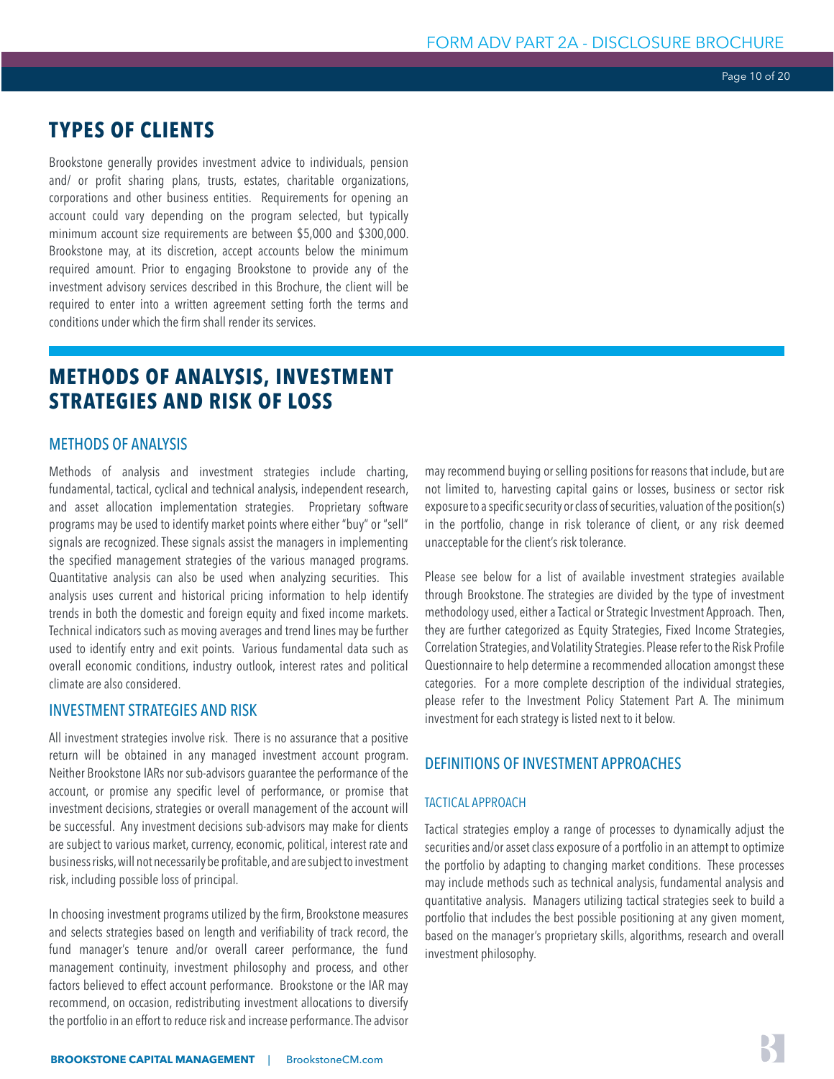Page 10 of 20

# <span id="page-9-0"></span>**TYPES OF CLIENTS**

Brookstone generally provides investment advice to individuals, pension and/ or profit sharing plans, trusts, estates, charitable organizations, corporations and other business entities. Requirements for opening an account could vary depending on the program selected, but typically minimum account size requirements are between \$5,000 and \$300,000. Brookstone may, at its discretion, accept accounts below the minimum required amount. Prior to engaging Brookstone to provide any of the investment advisory services described in this Brochure, the client will be required to enter into a written agreement setting forth the terms and conditions under which the firm shall render its services.

# **METHODS OF ANALYSIS, INVESTMENT STRATEGIES AND RISK OF LOSS**

# METHODS OF ANALYSIS

Methods of analysis and investment strategies include charting, fundamental, tactical, cyclical and technical analysis, independent research, and asset allocation implementation strategies. Proprietary software programs may be used to identify market points where either "buy" or "sell" signals are recognized. These signals assist the managers in implementing the specified management strategies of the various managed programs. Quantitative analysis can also be used when analyzing securities. This analysis uses current and historical pricing information to help identify trends in both the domestic and foreign equity and fixed income markets. Technical indicators such as moving averages and trend lines may be further used to identify entry and exit points. Various fundamental data such as overall economic conditions, industry outlook, interest rates and political climate are also considered.

# INVESTMENT STRATEGIES AND RISK

All investment strategies involve risk. There is no assurance that a positive return will be obtained in any managed investment account program. Neither Brookstone IARs nor sub-advisors guarantee the performance of the account, or promise any specific level of performance, or promise that investment decisions, strategies or overall management of the account will be successful. Any investment decisions sub-advisors may make for clients are subject to various market, currency, economic, political, interest rate and business risks, will not necessarily be profitable, and are subject to investment risk, including possible loss of principal.

In choosing investment programs utilized by the firm, Brookstone measures and selects strategies based on length and verifiability of track record, the fund manager's tenure and/or overall career performance, the fund management continuity, investment philosophy and process, and other factors believed to effect account performance. Brookstone or the IAR may recommend, on occasion, redistributing investment allocations to diversify the portfolio in an effort to reduce risk and increase performance. The advisor may recommend buying or selling positions for reasons that include, but are not limited to, harvesting capital gains or losses, business or sector risk exposure to a specific security or class of securities, valuation of the position(s) in the portfolio, change in risk tolerance of client, or any risk deemed unacceptable for the client's risk tolerance.

Please see below for a list of available investment strategies available through Brookstone. The strategies are divided by the type of investment methodology used, either a Tactical or Strategic Investment Approach. Then, they are further categorized as Equity Strategies, Fixed Income Strategies, Correlation Strategies, and Volatility Strategies. Please refer to the Risk Profile Questionnaire to help determine a recommended allocation amongst these categories. For a more complete description of the individual strategies, please refer to the Investment Policy Statement Part A. The minimum investment for each strategy is listed next to it below.

# DEFINITIONS OF INVESTMENT APPROACHES

#### TACTICAL APPROACH

Tactical strategies employ a range of processes to dynamically adjust the securities and/or asset class exposure of a portfolio in an attempt to optimize the portfolio by adapting to changing market conditions. These processes may include methods such as technical analysis, fundamental analysis and quantitative analysis. Managers utilizing tactical strategies seek to build a portfolio that includes the best possible positioning at any given moment, based on the manager's proprietary skills, algorithms, research and overall investment philosophy.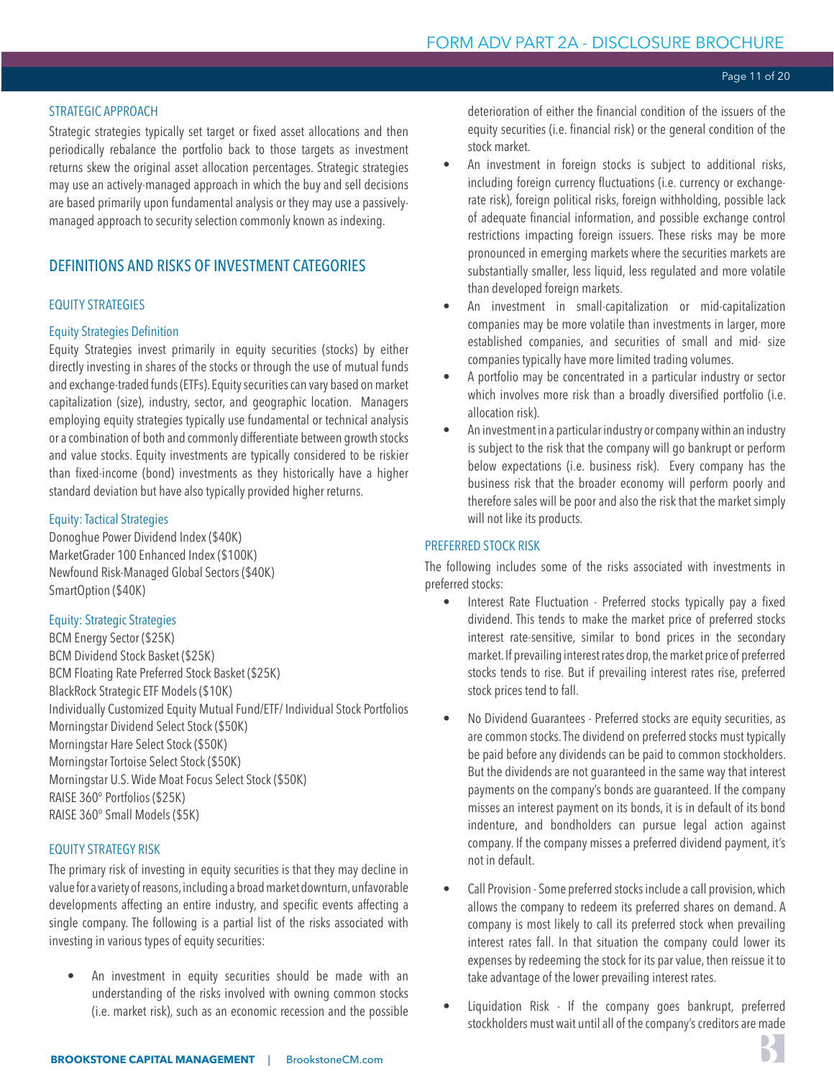# STRATEGIC APPROACH

Strategic strategies typically set target or fixed asset allocations and then periodically rebalance the portfolio back to those targets as investment returns skew the original asset allocation percentages. Strategic strategies may use an actively-managed approach in which the buy and sell decisions are based primarily upon fundamental analysis or they may use a passivelymanaged approach to security selection commonly known as indexing.

# DEFINITIONS AND RISKS OF INVESTMENT CATEGORIES

# EQUITY STRATEGIES

# Equity Strategies Definition

Equity Strategies invest primarily in equity securities (stocks) by either directly investing in shares of the stocks or through the use of mutual funds and exchange-traded funds (ETFs). Equity securities can vary based on market capitalization (size), industry, sector, and geographic location. Managers employing equity strategies typically use fundamental or technical analysis or a combination of both and commonly differentiate between growth stocks and value stocks. Equity investments are typically considered to be riskier than fixed-income (bond) investments as they historically have a higher standard deviation but have also typically provided higher returns.

#### Equity: Tactical Strategies

Donoghue Power Dividend Index (\$40K) MarketGrader 100 Enhanced Index (\$100K) Newfound Risk-Managed Global Sectors (\$40K) SmartOption (\$40K)

#### Equity: Strategic Strategies

BCM Energy Sector (\$25K) BCM Dividend Stock Basket (\$25K) BCM Floating Rate Preferred Stock Basket (\$25K) BlackRock Strategic ETF Models (\$10K) Individually Customized Equity Mutual Fund/ETF/ Individual Stock Portfolios Morningstar Dividend Select Stock (\$50K) Morningstar Hare Select Stock (\$50K) Morningstar Tortoise Select Stock (\$50K) Morningstar U.S. Wide Moat Focus Select Stock (\$50K) RAISE 360° Portfolios (\$25K) RAISE 360° Small Models (\$5K)

#### EQUITY STRATEGY RISK

The primary risk of investing in equity securities is that they may decline in value for a variety of reasons, including a broad market downturn, unfavorable developments affecting an entire industry, and specific events affecting a single company. The following is a partial list of the risks associated with investing in various types of equity securities:

An investment in equity securities should be made with an understanding of the risks involved with owning common stocks (i.e. market risk), such as an economic recession and the possible

deterioration of either the financial condition of the issuers of the equity securities (i.e. financial risk) or the general condition of the stock market.

- An investment in foreign stocks is subject to additional risks, including foreign currency fluctuations (i.e. currency or exchangerate risk), foreign political risks, foreign withholding, possible lack of adequate financial information, and possible exchange control restrictions impacting foreign issuers. These risks may be more pronounced in emerging markets where the securities markets are substantially smaller, less liquid, less regulated and more volatile than developed foreign markets.
- An investment in small-capitalization or mid-capitalization companies may be more volatile than investments in larger, more established companies, and securities of small and mid- size companies typically have more limited trading volumes.
- A portfolio may be concentrated in a particular industry or sector which involves more risk than a broadly diversified portfolio (i.e. allocation risk).
- An investment in a particular industry or company within an industry is subject to the risk that the company will go bankrupt or perform below expectations (i.e. business risk). Every company has the business risk that the broader economy will perform poorly and therefore sales will be poor and also the risk that the market simply will not like its products.

### PREFERRED STOCK RISK

The following includes some of the risks associated with investments in preferred stocks:

- Interest Rate Fluctuation Preferred stocks typically pay a fixed dividend. This tends to make the market price of preferred stocks interest rate-sensitive, similar to bond prices in the secondary market. If prevailing interest rates drop, the market price of preferred stocks tends to rise. But if prevailing interest rates rise, preferred stock prices tend to fall.
- No Dividend Guarantees Preferred stocks are equity securities, as are common stocks. The dividend on preferred stocks must typically be paid before any dividends can be paid to common stockholders. But the dividends are not guaranteed in the same way that interest payments on the company's bonds are guaranteed. If the company misses an interest payment on its bonds, it is in default of its bond indenture, and bondholders can pursue legal action against company. If the company misses a preferred dividend payment, it's not in default.
- Call Provision Some preferred stocks include a call provision, which allows the company to redeem its preferred shares on demand. A company is most likely to call its preferred stock when prevailing interest rates fall. In that situation the company could lower its expenses by redeeming the stock for its par value, then reissue it to take advantage of the lower prevailing interest rates.
- Liquidation Risk If the company goes bankrupt, preferred stockholders must wait until all of the company's creditors are made

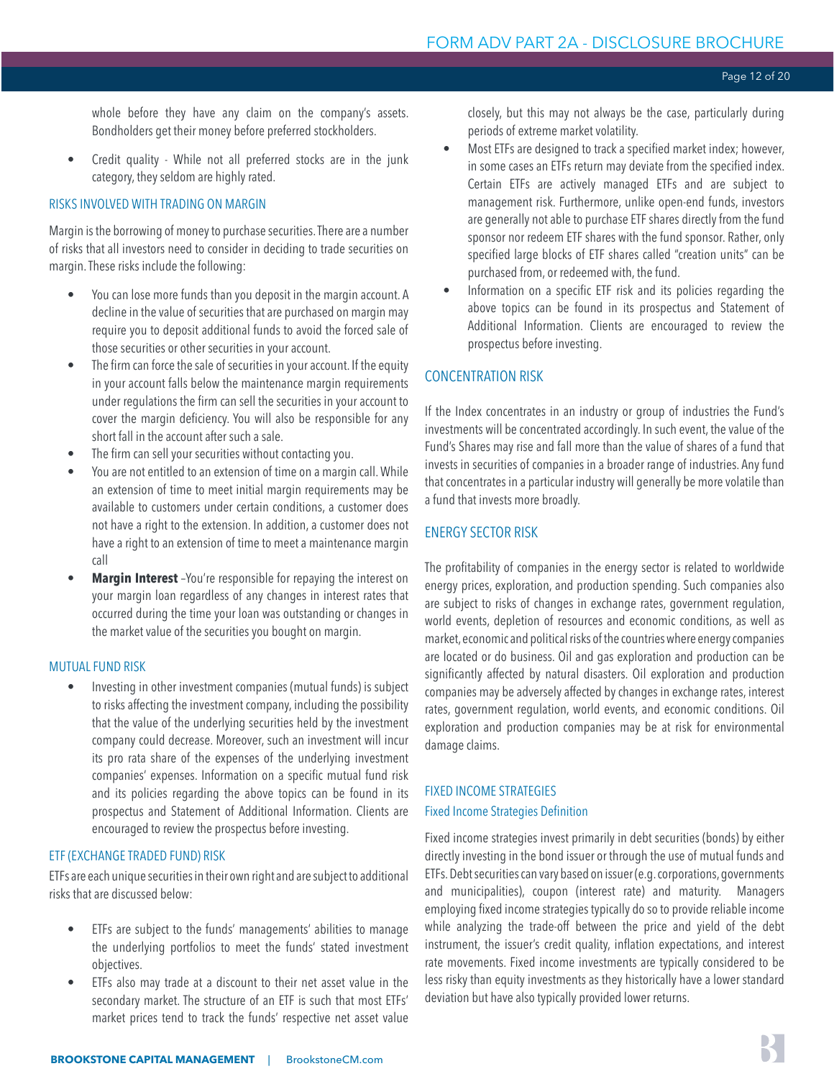whole before they have any claim on the company's assets. Bondholders get their money before preferred stockholders.

• Credit quality - While not all preferred stocks are in the junk category, they seldom are highly rated.

#### RISKS INVOLVED WITH TRADING ON MARGIN

Margin is the borrowing of money to purchase securities. There are a number of risks that all investors need to consider in deciding to trade securities on margin. These risks include the following:

- You can lose more funds than you deposit in the margin account. A decline in the value of securities that are purchased on margin may require you to deposit additional funds to avoid the forced sale of those securities or other securities in your account.
- The firm can force the sale of securities in your account. If the equity in your account falls below the maintenance margin requirements under regulations the firm can sell the securities in your account to cover the margin deficiency. You will also be responsible for any short fall in the account after such a sale.
- The firm can sell your securities without contacting you.
- You are not entitled to an extension of time on a margin call. While an extension of time to meet initial margin requirements may be available to customers under certain conditions, a customer does not have a right to the extension. In addition, a customer does not have a right to an extension of time to meet a maintenance margin call
- **Margin Interest** -You're responsible for repaying the interest on your margin loan regardless of any changes in interest rates that occurred during the time your loan was outstanding or changes in the market value of the securities you bought on margin.

#### MUTUAL FUND RISK

• Investing in other investment companies (mutual funds) is subject to risks affecting the investment company, including the possibility that the value of the underlying securities held by the investment company could decrease. Moreover, such an investment will incur its pro rata share of the expenses of the underlying investment companies' expenses. Information on a specific mutual fund risk and its policies regarding the above topics can be found in its prospectus and Statement of Additional Information. Clients are encouraged to review the prospectus before investing.

#### ETF (EXCHANGE TRADED FUND) RISK

ETFs are each unique securities in their own right and are subject to additional risks that are discussed below:

- ETFs are subject to the funds' managements' abilities to manage the underlying portfolios to meet the funds' stated investment objectives.
- ETFs also may trade at a discount to their net asset value in the secondary market. The structure of an ETF is such that most ETFs' market prices tend to track the funds' respective net asset value

closely, but this may not always be the case, particularly during periods of extreme market volatility.

- Most ETFs are designed to track a specified market index; however, in some cases an ETFs return may deviate from the specified index. Certain ETFs are actively managed ETFs and are subject to management risk. Furthermore, unlike open-end funds, investors are generally not able to purchase ETF shares directly from the fund sponsor nor redeem ETF shares with the fund sponsor. Rather, only specified large blocks of ETF shares called "creation units" can be purchased from, or redeemed with, the fund.
- Information on a specific ETF risk and its policies regarding the above topics can be found in its prospectus and Statement of Additional Information. Clients are encouraged to review the prospectus before investing.

### CONCENTRATION RISK

If the Index concentrates in an industry or group of industries the Fund's investments will be concentrated accordingly. In such event, the value of the Fund's Shares may rise and fall more than the value of shares of a fund that invests in securities of companies in a broader range of industries. Any fund that concentrates in a particular industry will generally be more volatile than a fund that invests more broadly.

# ENERGY SECTOR RISK

The profitability of companies in the energy sector is related to worldwide energy prices, exploration, and production spending. Such companies also are subject to risks of changes in exchange rates, government regulation, world events, depletion of resources and economic conditions, as well as market, economic and political risks of the countries where energy companies are located or do business. Oil and gas exploration and production can be significantly affected by natural disasters. Oil exploration and production companies may be adversely affected by changes in exchange rates, interest rates, government regulation, world events, and economic conditions. Oil exploration and production companies may be at risk for environmental damage claims.

# FIXED INCOME STRATEGIES Fixed Income Strategies Definition

Fixed income strategies invest primarily in debt securities (bonds) by either directly investing in the bond issuer or through the use of mutual funds and ETFs. Debt securities can vary based on issuer (e.g. corporations, governments and municipalities), coupon (interest rate) and maturity. Managers employing fixed income strategies typically do so to provide reliable income while analyzing the trade-off between the price and yield of the debt instrument, the issuer's credit quality, inflation expectations, and interest rate movements. Fixed income investments are typically considered to be less risky than equity investments as they historically have a lower standard deviation but have also typically provided lower returns.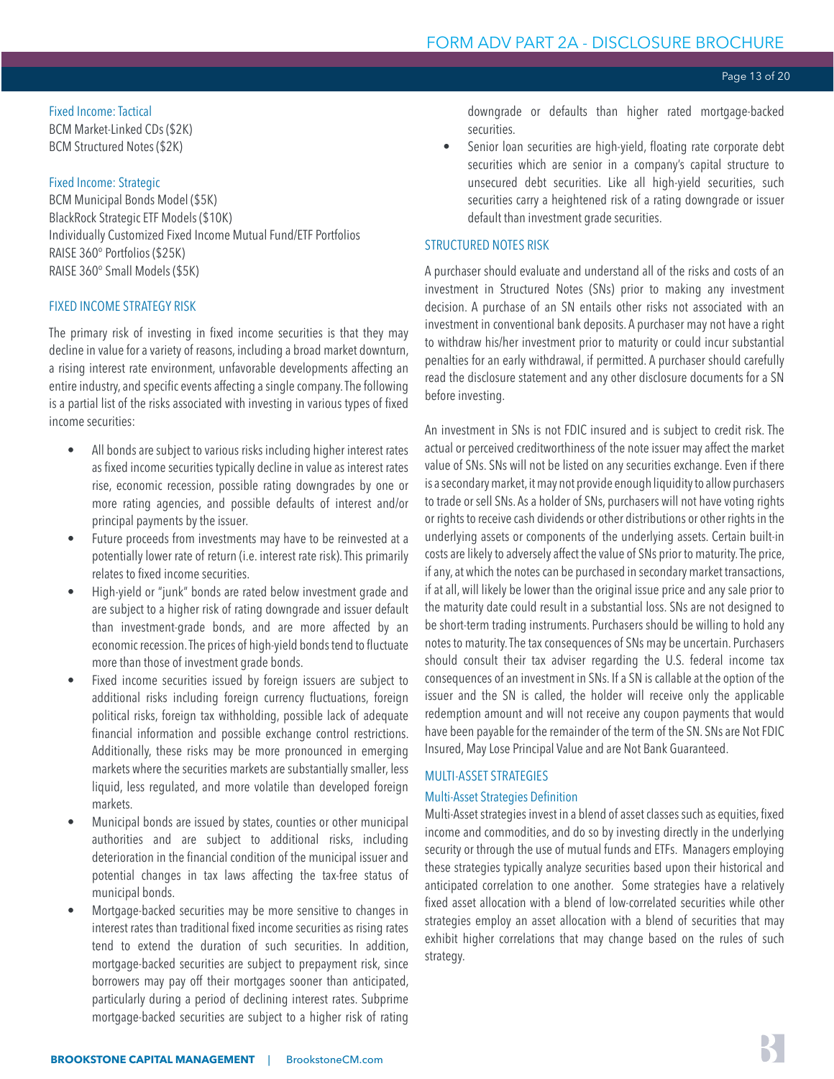#### Fixed Income: Tactical BCM Market-Linked CDs (\$2K) BCM Structured Notes (\$2K)

#### Fixed Income: Strategic

BCM Municipal Bonds Model (\$5K) BlackRock Strategic ETF Models (\$10K) Individually Customized Fixed Income Mutual Fund/ETF Portfolios RAISE 360° Portfolios (\$25K) RAISE 360° Small Models (\$5K)

#### FIXED INCOME STRATEGY RISK

The primary risk of investing in fixed income securities is that they may decline in value for a variety of reasons, including a broad market downturn, a rising interest rate environment, unfavorable developments affecting an entire industry, and specific events affecting a single company. The following is a partial list of the risks associated with investing in various types of fixed income securities:

- All bonds are subject to various risks including higher interest rates as fixed income securities typically decline in value as interest rates rise, economic recession, possible rating downgrades by one or more rating agencies, and possible defaults of interest and/or principal payments by the issuer.
- Future proceeds from investments may have to be reinvested at a potentially lower rate of return (i.e. interest rate risk). This primarily relates to fixed income securities.
- High-yield or "junk" bonds are rated below investment grade and are subject to a higher risk of rating downgrade and issuer default than investment-grade bonds, and are more affected by an economic recession. The prices of high-yield bonds tend to fluctuate more than those of investment grade bonds.
- Fixed income securities issued by foreign issuers are subject to additional risks including foreign currency fluctuations, foreign political risks, foreign tax withholding, possible lack of adequate financial information and possible exchange control restrictions. Additionally, these risks may be more pronounced in emerging markets where the securities markets are substantially smaller, less liquid, less regulated, and more volatile than developed foreign markets.
- Municipal bonds are issued by states, counties or other municipal authorities and are subject to additional risks, including deterioration in the financial condition of the municipal issuer and potential changes in tax laws affecting the tax-free status of municipal bonds.
- Mortgage-backed securities may be more sensitive to changes in interest rates than traditional fixed income securities as rising rates tend to extend the duration of such securities. In addition, mortgage-backed securities are subject to prepayment risk, since borrowers may pay off their mortgages sooner than anticipated, particularly during a period of declining interest rates. Subprime mortgage-backed securities are subject to a higher risk of rating

downgrade or defaults than higher rated mortgage-backed securities.

Senior loan securities are high-yield, floating rate corporate debt securities which are senior in a company's capital structure to unsecured debt securities. Like all high-yield securities, such securities carry a heightened risk of a rating downgrade or issuer default than investment grade securities.

#### STRUCTURED NOTES RISK

A purchaser should evaluate and understand all of the risks and costs of an investment in Structured Notes (SNs) prior to making any investment decision. A purchase of an SN entails other risks not associated with an investment in conventional bank deposits. A purchaser may not have a right to withdraw his/her investment prior to maturity or could incur substantial penalties for an early withdrawal, if permitted. A purchaser should carefully read the disclosure statement and any other disclosure documents for a SN before investing.

An investment in SNs is not FDIC insured and is subject to credit risk. The actual or perceived creditworthiness of the note issuer may affect the market value of SNs. SNs will not be listed on any securities exchange. Even if there is a secondary market, it may not provide enough liquidity to allow purchasers to trade or sell SNs. As a holder of SNs, purchasers will not have voting rights or rights to receive cash dividends or other distributions or other rights in the underlying assets or components of the underlying assets. Certain built-in costs are likely to adversely affect the value of SNs prior to maturity. The price, if any, at which the notes can be purchased in secondary market transactions, if at all, will likely be lower than the original issue price and any sale prior to the maturity date could result in a substantial loss. SNs are not designed to be short-term trading instruments. Purchasers should be willing to hold any notes to maturity. The tax consequences of SNs may be uncertain. Purchasers should consult their tax adviser regarding the U.S. federal income tax consequences of an investment in SNs. If a SN is callable at the option of the issuer and the SN is called, the holder will receive only the applicable redemption amount and will not receive any coupon payments that would have been payable for the remainder of the term of the SN. SNs are Not FDIC Insured, May Lose Principal Value and are Not Bank Guaranteed.

#### MULTI-ASSET STRATEGIES

#### Multi-Asset Strategies Definition

Multi-Asset strategies invest in a blend of asset classes such as equities, fixed income and commodities, and do so by investing directly in the underlying security or through the use of mutual funds and ETFs. Managers employing these strategies typically analyze securities based upon their historical and anticipated correlation to one another. Some strategies have a relatively fixed asset allocation with a blend of low-correlated securities while other strategies employ an asset allocation with a blend of securities that may exhibit higher correlations that may change based on the rules of such strategy.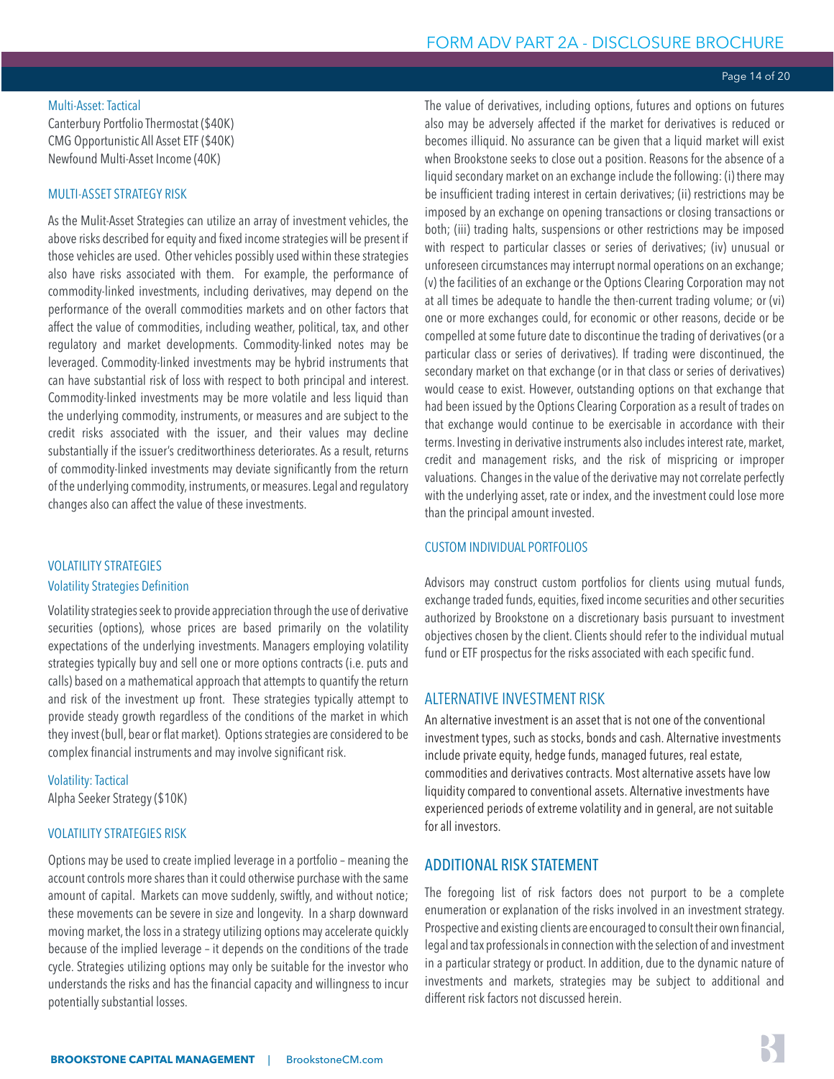#### Page 14 of 20

#### <span id="page-13-0"></span>Multi-Asset: Tactical

Canterbury Portfolio Thermostat (\$40K) CMG Opportunistic All Asset ETF (\$40K) Newfound Multi-Asset Income (40K)

### MULTI-ASSET STRATEGY RISK

As the Mulit-Asset Strategies can utilize an array of investment vehicles, the above risks described for equity and fixed income strategies will be present if those vehicles are used. Other vehicles possibly used within these strategies also have risks associated with them. For example, the performance of commodity-linked investments, including derivatives, may depend on the performance of the overall commodities markets and on other factors that affect the value of commodities, including weather, political, tax, and other regulatory and market developments. Commodity-linked notes may be leveraged. Commodity-linked investments may be hybrid instruments that can have substantial risk of loss with respect to both principal and interest. Commodity-linked investments may be more volatile and less liquid than the underlying commodity, instruments, or measures and are subject to the credit risks associated with the issuer, and their values may decline substantially if the issuer's creditworthiness deteriorates. As a result, returns of commodity-linked investments may deviate significantly from the return of the underlying commodity, instruments, or measures. Legal and regulatory changes also can affect the value of these investments.

#### VOLATILITY STRATEGIES

#### Volatility Strategies Definition

Volatility strategies seek to provide appreciation through the use of derivative securities (options), whose prices are based primarily on the volatility expectations of the underlying investments. Managers employing volatility strategies typically buy and sell one or more options contracts (i.e. puts and calls) based on a mathematical approach that attempts to quantify the return and risk of the investment up front. These strategies typically attempt to provide steady growth regardless of the conditions of the market in which they invest (bull, bear or flat market). Options strategies are considered to be complex financial instruments and may involve significant risk.

Volatility: Tactical Alpha Seeker Strategy (\$10K)

#### VOLATILITY STRATEGIES RISK

Options may be used to create implied leverage in a portfolio – meaning the account controls more shares than it could otherwise purchase with the same amount of capital. Markets can move suddenly, swiftly, and without notice; these movements can be severe in size and longevity. In a sharp downward moving market, the loss in a strategy utilizing options may accelerate quickly because of the implied leverage – it depends on the conditions of the trade cycle. Strategies utilizing options may only be suitable for the investor who understands the risks and has the financial capacity and willingness to incur potentially substantial losses.

The value of derivatives, including options, futures and options on futures also may be adversely affected if the market for derivatives is reduced or becomes illiquid. No assurance can be given that a liquid market will exist when Brookstone seeks to close out a position. Reasons for the absence of a liquid secondary market on an exchange include the following: (i) there may be insufficient trading interest in certain derivatives; (ii) restrictions may be imposed by an exchange on opening transactions or closing transactions or both; (iii) trading halts, suspensions or other restrictions may be imposed with respect to particular classes or series of derivatives; (iv) unusual or unforeseen circumstances may interrupt normal operations on an exchange; (v) the facilities of an exchange or the Options Clearing Corporation may not at all times be adequate to handle the then-current trading volume; or (vi) one or more exchanges could, for economic or other reasons, decide or be compelled at some future date to discontinue the trading of derivatives (or a particular class or series of derivatives). If trading were discontinued, the secondary market on that exchange (or in that class or series of derivatives) would cease to exist. However, outstanding options on that exchange that had been issued by the Options Clearing Corporation as a result of trades on that exchange would continue to be exercisable in accordance with their terms. Investing in derivative instruments also includes interest rate, market, credit and management risks, and the risk of mispricing or improper valuations. Changes in the value of the derivative may not correlate perfectly with the underlying asset, rate or index, and the investment could lose more than the principal amount invested.

#### CUSTOM INDIVIDUAL PORTFOLIOS

Advisors may construct custom portfolios for clients using mutual funds, exchange traded funds, equities, fixed income securities and other securities authorized by Brookstone on a discretionary basis pursuant to investment objectives chosen by the client. Clients should refer to the individual mutual fund or ETF prospectus for the risks associated with each specific fund.

#### ALTERNATIVE INVESTMENT RISK

An alternative investment is an asset that is not one of the conventional investment types, such as stocks, bonds and cash. Alternative investments include private equity, hedge funds, managed futures, real estate, commodities and derivatives contracts. Most alternative assets have low liquidity compared to conventional assets. Alternative investments have experienced periods of extreme volatility and in general, are not suitable for all investors.

# ADDITIONAL RISK STATEMENT

The foregoing list of risk factors does not purport to be a complete enumeration or explanation of the risks involved in an investment strategy. Prospective and existing clients are encouraged to consult their own financial, legal and tax professionals in connection with the selection of and investment in a particular strategy or product. In addition, due to the dynamic nature of investments and markets, strategies may be subject to additional and different risk factors not discussed herein.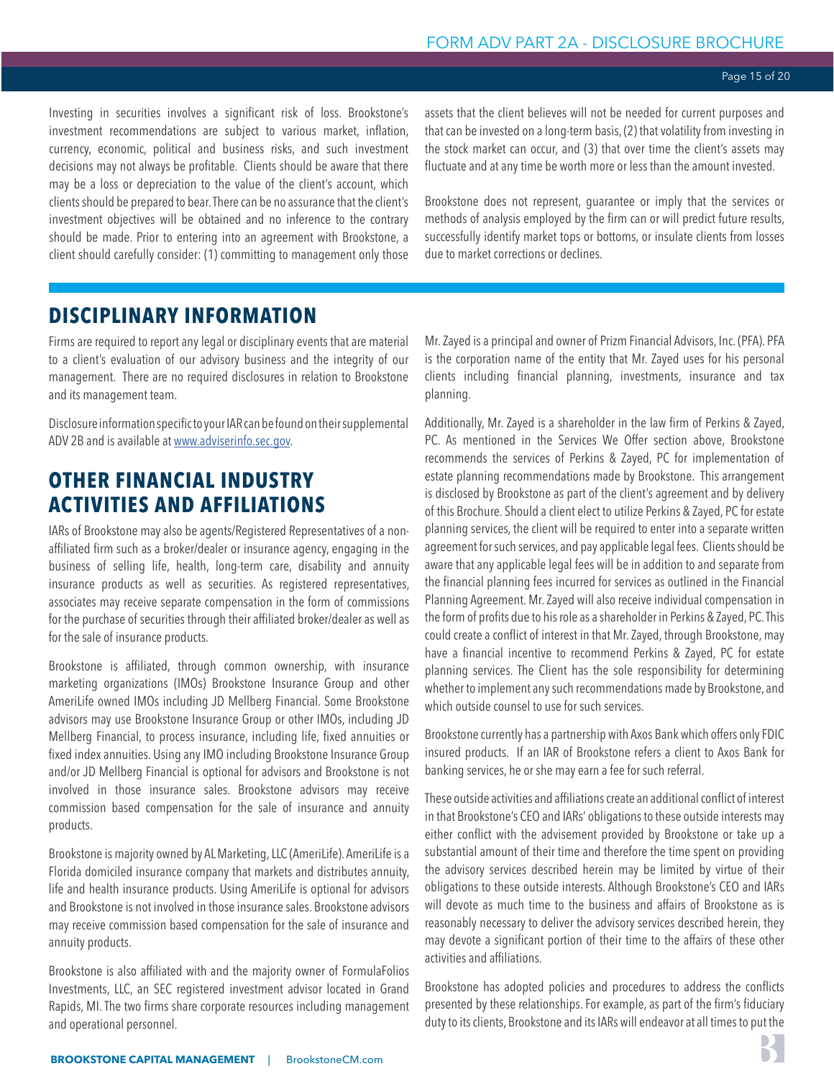<span id="page-14-0"></span>Investing in securities involves a significant risk of loss. Brookstone's investment recommendations are subject to various market, inflation, currency, economic, political and business risks, and such investment decisions may not always be profitable. Clients should be aware that there may be a loss or depreciation to the value of the client's account, which clients should be prepared to bear. There can be no assurance that the client's investment objectives will be obtained and no inference to the contrary should be made. Prior to entering into an agreement with Brookstone, a client should carefully consider: (1) committing to management only those

assets that the client believes will not be needed for current purposes and that can be invested on a long-term basis, (2) that volatility from investing in the stock market can occur, and (3) that over time the client's assets may fluctuate and at any time be worth more or less than the amount invested.

Brookstone does not represent, guarantee or imply that the services or methods of analysis employed by the firm can or will predict future results, successfully identify market tops or bottoms, or insulate clients from losses due to market corrections or declines.

# **DISCIPLINARY INFORMATION**

Firms are required to report any legal or disciplinary events that are material to a client's evaluation of our advisory business and the integrity of our management. There are no required disclosures in relation to Brookstone and its management team.

Disclosure information specific to your IAR can be found on their supplemental ADV 2B and is available at [www.adviserinfo.sec.gov](http://www.adviserinfo.sec.gov/IAPD/Content/IapdMain/iapd_SiteMap.aspx).

# **OTHER FINANCIAL INDUSTRY ACTIVITIES AND AFFILIATIONS**

IARs of Brookstone may also be agents/Registered Representatives of a nonaffiliated firm such as a broker/dealer or insurance agency, engaging in the business of selling life, health, long-term care, disability and annuity insurance products as well as securities. As registered representatives, associates may receive separate compensation in the form of commissions for the purchase of securities through their affiliated broker/dealer as well as for the sale of insurance products.

Brookstone is affiliated, through common ownership, with insurance marketing organizations (IMOs) Brookstone Insurance Group and other AmeriLife owned IMOs including JD Mellberg Financial. Some Brookstone advisors may use Brookstone Insurance Group or other IMOs, including JD Mellberg Financial, to process insurance, including life, fixed annuities or fixed index annuities. Using any IMO including Brookstone Insurance Group and/or JD Mellberg Financial is optional for advisors and Brookstone is not involved in those insurance sales. Brookstone advisors may receive commission based compensation for the sale of insurance and annuity products.

Brookstone is majority owned by AL Marketing, LLC (AmeriLife). AmeriLife is a Florida domiciled insurance company that markets and distributes annuity, life and health insurance products. Using AmeriLife is optional for advisors and Brookstone is not involved in those insurance sales. Brookstone advisors may receive commission based compensation for the sale of insurance and annuity products.

Brookstone is also affiliated with and the majority owner of FormulaFolios Investments, LLC, an SEC registered investment advisor located in Grand Rapids, MI. The two firms share corporate resources including management and operational personnel.

Mr. Zayed is a principal and owner of Prizm Financial Advisors, Inc. (PFA). PFA is the corporation name of the entity that Mr. Zayed uses for his personal clients including financial planning, investments, insurance and tax planning.

Additionally, Mr. Zayed is a shareholder in the law firm of Perkins & Zayed, PC. As mentioned in the Services We Offer section above, Brookstone recommends the services of Perkins & Zayed, PC for implementation of estate planning recommendations made by Brookstone. This arrangement is disclosed by Brookstone as part of the client's agreement and by delivery of this Brochure. Should a client elect to utilize Perkins & Zayed, PC for estate planning services, the client will be required to enter into a separate written agreement for such services, and pay applicable legal fees. Clients should be aware that any applicable legal fees will be in addition to and separate from the financial planning fees incurred for services as outlined in the Financial Planning Agreement. Mr. Zayed will also receive individual compensation in the form of profits due to his role as a shareholder in Perkins & Zayed, PC. This could create a conflict of interest in that Mr. Zayed, through Brookstone, may have a financial incentive to recommend Perkins & Zayed, PC for estate planning services. The Client has the sole responsibility for determining whether to implement any such recommendations made by Brookstone, and which outside counsel to use for such services.

Brookstone currently has a partnership with Axos Bank which offers only FDIC insured products. If an IAR of Brookstone refers a client to Axos Bank for banking services, he or she may earn a fee for such referral.

These outside activities and affiliations create an additional conflict of interest in that Brookstone's CEO and IARs' obligations to these outside interests may either conflict with the advisement provided by Brookstone or take up a substantial amount of their time and therefore the time spent on providing the advisory services described herein may be limited by virtue of their obligations to these outside interests. Although Brookstone's CEO and IARs will devote as much time to the business and affairs of Brookstone as is reasonably necessary to deliver the advisory services described herein, they may devote a significant portion of their time to the affairs of these other activities and affiliations.

Brookstone has adopted policies and procedures to address the conflicts presented by these relationships. For example, as part of the firm's fiduciary duty to its clients, Brookstone and its IARs will endeavor at all times to put the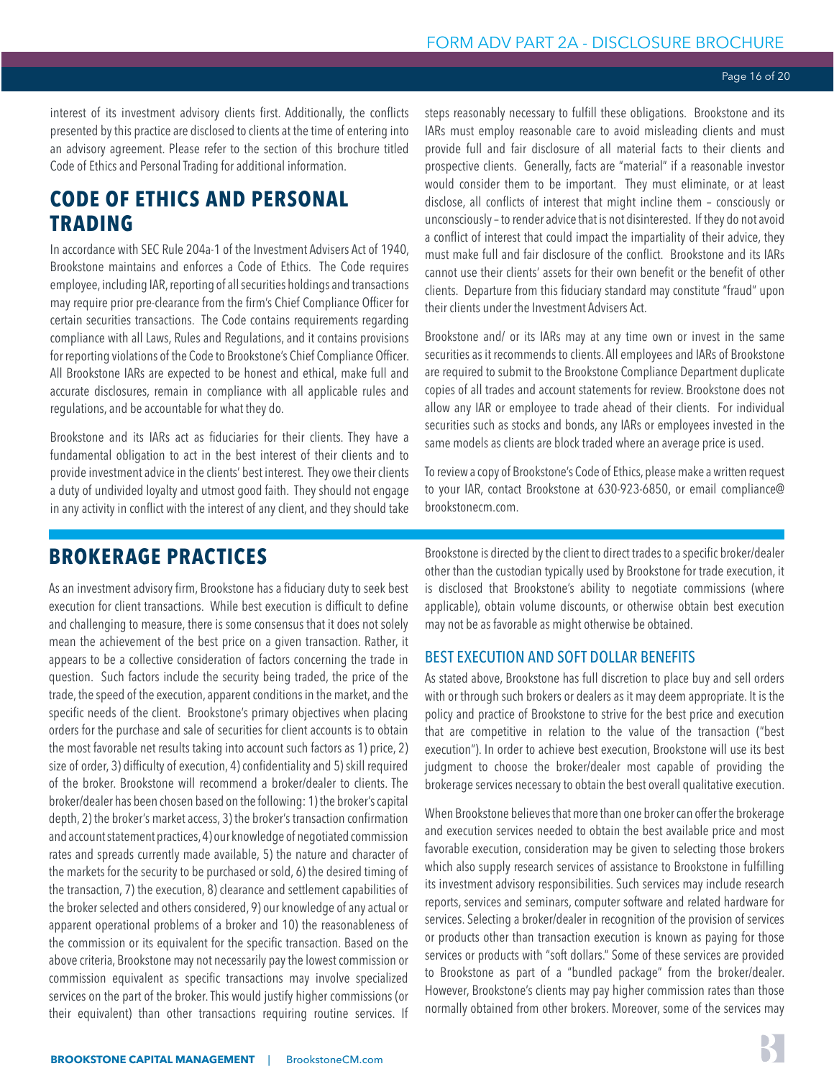<span id="page-15-0"></span>interest of its investment advisory clients first. Additionally, the conflicts presented by this practice are disclosed to clients at the time of entering into an advisory agreement. Please refer to the section of this brochure titled Code of Ethics and Personal Trading for additional information.

# **CODE OF ETHICS AND PERSONAL TRADING**

In accordance with SEC Rule 204a-1 of the Investment Advisers Act of 1940, Brookstone maintains and enforces a Code of Ethics. The Code requires employee, including IAR, reporting of all securities holdings and transactions may require prior pre-clearance from the firm's Chief Compliance Officer for certain securities transactions. The Code contains requirements regarding compliance with all Laws, Rules and Regulations, and it contains provisions for reporting violations of the Code to Brookstone's Chief Compliance Officer. All Brookstone IARs are expected to be honest and ethical, make full and accurate disclosures, remain in compliance with all applicable rules and regulations, and be accountable for what they do.

Brookstone and its IARs act as fiduciaries for their clients. They have a fundamental obligation to act in the best interest of their clients and to provide investment advice in the clients' best interest. They owe their clients a duty of undivided loyalty and utmost good faith. They should not engage in any activity in conflict with the interest of any client, and they should take

steps reasonably necessary to fulfill these obligations. Brookstone and its IARs must employ reasonable care to avoid misleading clients and must provide full and fair disclosure of all material facts to their clients and prospective clients. Generally, facts are "material" if a reasonable investor would consider them to be important. They must eliminate, or at least disclose, all conflicts of interest that might incline them – consciously or unconsciously – to render advice that is not disinterested. If they do not avoid a conflict of interest that could impact the impartiality of their advice, they must make full and fair disclosure of the conflict. Brookstone and its IARs cannot use their clients' assets for their own benefit or the benefit of other clients. Departure from this fiduciary standard may constitute "fraud" upon their clients under the Investment Advisers Act.

Brookstone and/ or its IARs may at any time own or invest in the same securities as it recommends to clients. All employees and IARs of Brookstone are required to submit to the Brookstone Compliance Department duplicate copies of all trades and account statements for review. Brookstone does not allow any IAR or employee to trade ahead of their clients. For individual securities such as stocks and bonds, any IARs or employees invested in the same models as clients are block traded where an average price is used.

To review a copy of Brookstone's Code of Ethics, please make a written request to your IAR, contact Brookstone at 630-923-6850, or email compliance@ brookstonecm.com.

# **BROKERAGE PRACTICES**

As an investment advisory firm, Brookstone has a fiduciary duty to seek best execution for client transactions. While best execution is difficult to define and challenging to measure, there is some consensus that it does not solely mean the achievement of the best price on a given transaction. Rather, it appears to be a collective consideration of factors concerning the trade in question. Such factors include the security being traded, the price of the trade, the speed of the execution, apparent conditions in the market, and the specific needs of the client. Brookstone's primary objectives when placing orders for the purchase and sale of securities for client accounts is to obtain the most favorable net results taking into account such factors as 1) price, 2) size of order, 3) difficulty of execution, 4) confidentiality and 5) skill required of the broker. Brookstone will recommend a broker/dealer to clients. The broker/dealer has been chosen based on the following: 1) the broker's capital depth, 2) the broker's market access, 3) the broker's transaction confirmation and account statement practices, 4) our knowledge of negotiated commission rates and spreads currently made available, 5) the nature and character of the markets for the security to be purchased or sold, 6) the desired timing of the transaction, 7) the execution, 8) clearance and settlement capabilities of the broker selected and others considered, 9) our knowledge of any actual or apparent operational problems of a broker and 10) the reasonableness of the commission or its equivalent for the specific transaction. Based on the above criteria, Brookstone may not necessarily pay the lowest commission or commission equivalent as specific transactions may involve specialized services on the part of the broker. This would justify higher commissions (or their equivalent) than other transactions requiring routine services. If

Brookstone is directed by the client to direct trades to a specific broker/dealer other than the custodian typically used by Brookstone for trade execution, it is disclosed that Brookstone's ability to negotiate commissions (where applicable), obtain volume discounts, or otherwise obtain best execution may not be as favorable as might otherwise be obtained.

# BEST EXECUTION AND SOFT DOLLAR BENEFITS

As stated above, Brookstone has full discretion to place buy and sell orders with or through such brokers or dealers as it may deem appropriate. It is the policy and practice of Brookstone to strive for the best price and execution that are competitive in relation to the value of the transaction ("best execution"). In order to achieve best execution, Brookstone will use its best judgment to choose the broker/dealer most capable of providing the brokerage services necessary to obtain the best overall qualitative execution.

When Brookstone believes that more than one broker can offer the brokerage and execution services needed to obtain the best available price and most favorable execution, consideration may be given to selecting those brokers which also supply research services of assistance to Brookstone in fulfilling its investment advisory responsibilities. Such services may include research reports, services and seminars, computer software and related hardware for services. Selecting a broker/dealer in recognition of the provision of services or products other than transaction execution is known as paying for those services or products with "soft dollars." Some of these services are provided to Brookstone as part of a "bundled package" from the broker/dealer. However, Brookstone's clients may pay higher commission rates than those normally obtained from other brokers. Moreover, some of the services may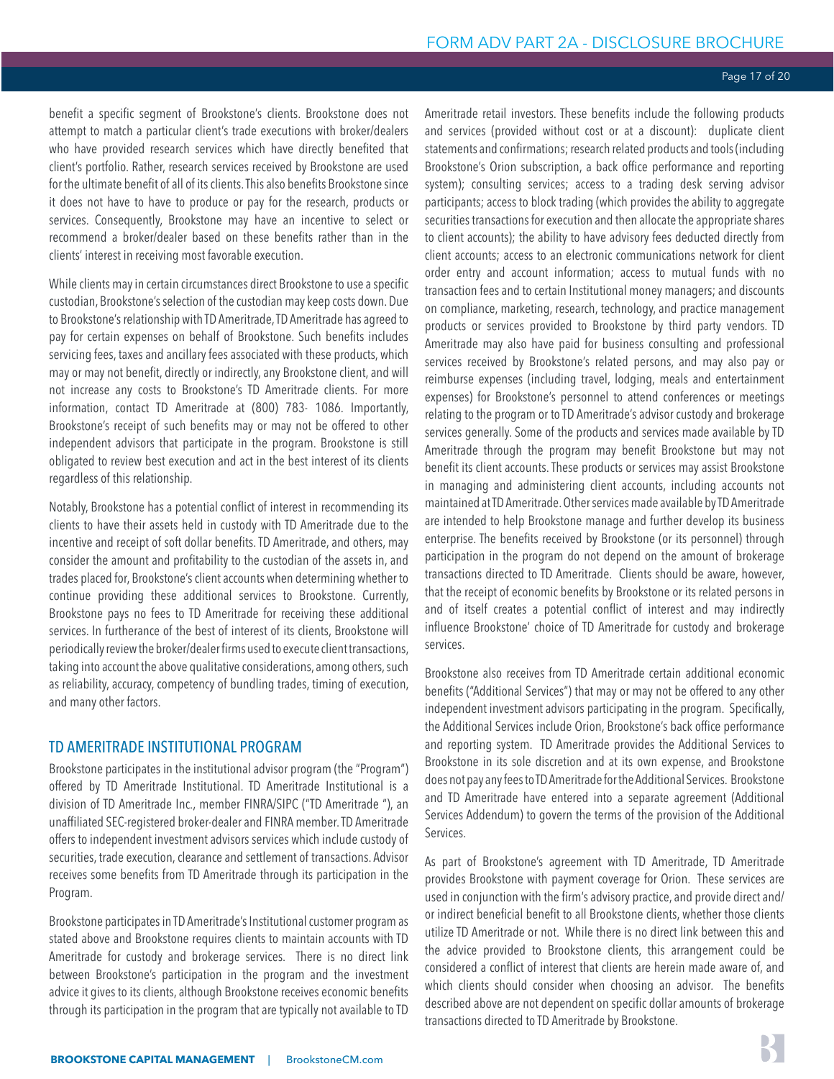#### Page 17 of 20

benefit a specific segment of Brookstone's clients. Brookstone does not attempt to match a particular client's trade executions with broker/dealers who have provided research services which have directly benefited that client's portfolio. Rather, research services received by Brookstone are used for the ultimate benefit of all of its clients. This also benefits Brookstone since it does not have to have to produce or pay for the research, products or services. Consequently, Brookstone may have an incentive to select or recommend a broker/dealer based on these benefits rather than in the clients' interest in receiving most favorable execution.

While clients may in certain circumstances direct Brookstone to use a specific custodian, Brookstone's selection of the custodian may keep costs down. Due to Brookstone's relationship with TD Ameritrade, TD Ameritrade has agreed to pay for certain expenses on behalf of Brookstone. Such benefits includes servicing fees, taxes and ancillary fees associated with these products, which may or may not benefit, directly or indirectly, any Brookstone client, and will not increase any costs to Brookstone's TD Ameritrade clients. For more information, contact TD Ameritrade at (800) 783- 1086. Importantly, Brookstone's receipt of such benefits may or may not be offered to other independent advisors that participate in the program. Brookstone is still obligated to review best execution and act in the best interest of its clients regardless of this relationship.

Notably, Brookstone has a potential conflict of interest in recommending its clients to have their assets held in custody with TD Ameritrade due to the incentive and receipt of soft dollar benefits. TD Ameritrade, and others, may consider the amount and profitability to the custodian of the assets in, and trades placed for, Brookstone's client accounts when determining whether to continue providing these additional services to Brookstone. Currently, Brookstone pays no fees to TD Ameritrade for receiving these additional services. In furtherance of the best of interest of its clients, Brookstone will periodically review the broker/dealer firms used to execute client transactions, taking into account the above qualitative considerations, among others, such as reliability, accuracy, competency of bundling trades, timing of execution, and many other factors.

#### TD AMERITRADE INSTITUTIONAL PROGRAM

Brookstone participates in the institutional advisor program (the "Program") offered by TD Ameritrade Institutional. TD Ameritrade Institutional is a division of TD Ameritrade Inc., member FINRA/SIPC ("TD Ameritrade "), an unaffiliated SEC-registered broker-dealer and FINRA member. TD Ameritrade offers to independent investment advisors services which include custody of securities, trade execution, clearance and settlement of transactions. Advisor receives some benefits from TD Ameritrade through its participation in the Program.

Brookstone participates in TD Ameritrade's Institutional customer program as stated above and Brookstone requires clients to maintain accounts with TD Ameritrade for custody and brokerage services. There is no direct link between Brookstone's participation in the program and the investment advice it gives to its clients, although Brookstone receives economic benefits through its participation in the program that are typically not available to TD

Ameritrade retail investors. These benefits include the following products and services (provided without cost or at a discount): duplicate client statements and confirmations; research related products and tools (including Brookstone's Orion subscription, a back office performance and reporting system); consulting services; access to a trading desk serving advisor participants; access to block trading (which provides the ability to aggregate securities transactions for execution and then allocate the appropriate shares to client accounts); the ability to have advisory fees deducted directly from client accounts; access to an electronic communications network for client order entry and account information; access to mutual funds with no transaction fees and to certain Institutional money managers; and discounts on compliance, marketing, research, technology, and practice management products or services provided to Brookstone by third party vendors. TD Ameritrade may also have paid for business consulting and professional services received by Brookstone's related persons, and may also pay or reimburse expenses (including travel, lodging, meals and entertainment expenses) for Brookstone's personnel to attend conferences or meetings relating to the program or to TD Ameritrade's advisor custody and brokerage services generally. Some of the products and services made available by TD Ameritrade through the program may benefit Brookstone but may not benefit its client accounts. These products or services may assist Brookstone in managing and administering client accounts, including accounts not maintained at TD Ameritrade. Other services made available by TD Ameritrade are intended to help Brookstone manage and further develop its business enterprise. The benefits received by Brookstone (or its personnel) through participation in the program do not depend on the amount of brokerage transactions directed to TD Ameritrade. Clients should be aware, however, that the receipt of economic benefits by Brookstone or its related persons in and of itself creates a potential conflict of interest and may indirectly influence Brookstone' choice of TD Ameritrade for custody and brokerage services.

Brookstone also receives from TD Ameritrade certain additional economic benefits ("Additional Services") that may or may not be offered to any other independent investment advisors participating in the program. Specifically, the Additional Services include Orion, Brookstone's back office performance and reporting system. TD Ameritrade provides the Additional Services to Brookstone in its sole discretion and at its own expense, and Brookstone does not pay any fees to TD Ameritrade for the Additional Services. Brookstone and TD Ameritrade have entered into a separate agreement (Additional Services Addendum) to govern the terms of the provision of the Additional Services.

As part of Brookstone's agreement with TD Ameritrade, TD Ameritrade provides Brookstone with payment coverage for Orion. These services are used in conjunction with the firm's advisory practice, and provide direct and/ or indirect beneficial benefit to all Brookstone clients, whether those clients utilize TD Ameritrade or not. While there is no direct link between this and the advice provided to Brookstone clients, this arrangement could be considered a conflict of interest that clients are herein made aware of, and which clients should consider when choosing an advisor. The benefits described above are not dependent on specific dollar amounts of brokerage transactions directed to TD Ameritrade by Brookstone.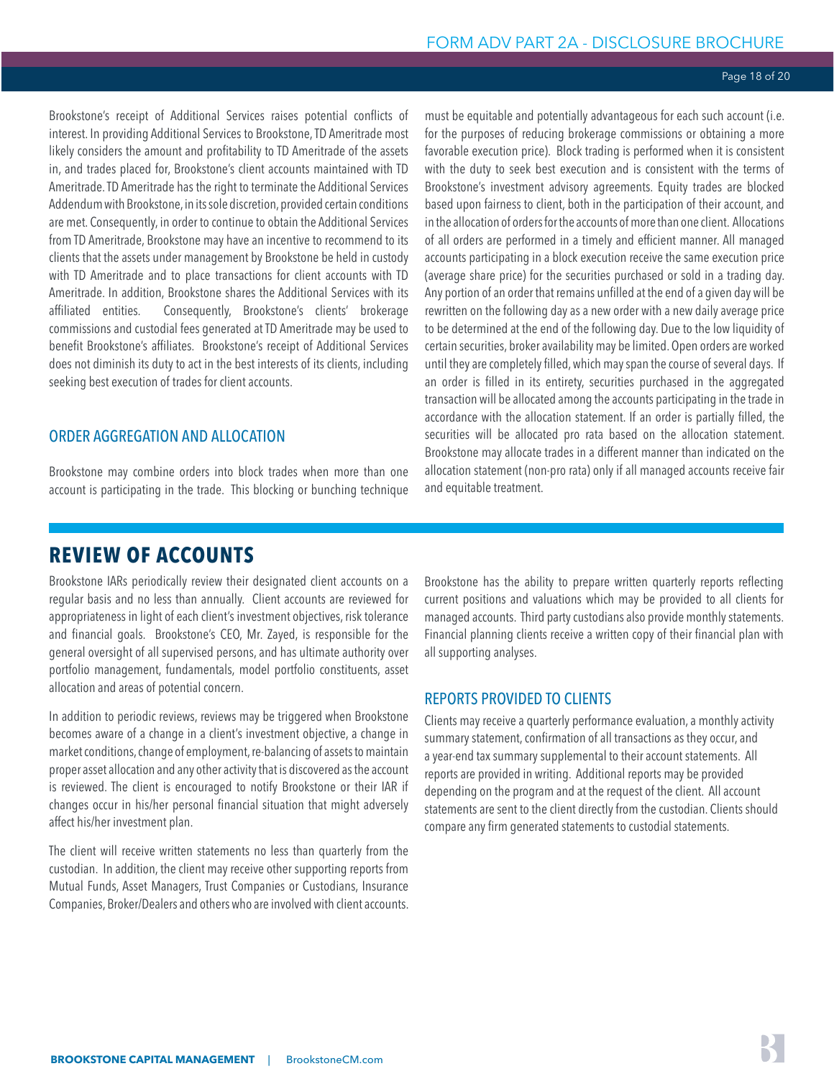#### Page 18 of 20

<span id="page-17-0"></span>Brookstone's receipt of Additional Services raises potential conflicts of interest. In providing Additional Services to Brookstone, TD Ameritrade most likely considers the amount and profitability to TD Ameritrade of the assets in, and trades placed for, Brookstone's client accounts maintained with TD Ameritrade. TD Ameritrade has the right to terminate the Additional Services Addendum with Brookstone, in its sole discretion, provided certain conditions are met. Consequently, in order to continue to obtain the Additional Services from TD Ameritrade, Brookstone may have an incentive to recommend to its clients that the assets under management by Brookstone be held in custody with TD Ameritrade and to place transactions for client accounts with TD Ameritrade. In addition, Brookstone shares the Additional Services with its affiliated entities. Consequently, Brookstone's clients' brokerage commissions and custodial fees generated at TD Ameritrade may be used to benefit Brookstone's affiliates. Brookstone's receipt of Additional Services does not diminish its duty to act in the best interests of its clients, including seeking best execution of trades for client accounts.

# ORDER AGGREGATION AND ALLOCATION

Brookstone may combine orders into block trades when more than one account is participating in the trade. This blocking or bunching technique

must be equitable and potentially advantageous for each such account (i.e. for the purposes of reducing brokerage commissions or obtaining a more favorable execution price). Block trading is performed when it is consistent with the duty to seek best execution and is consistent with the terms of Brookstone's investment advisory agreements. Equity trades are blocked based upon fairness to client, both in the participation of their account, and in the allocation of orders for the accounts of more than one client. Allocations of all orders are performed in a timely and efficient manner. All managed accounts participating in a block execution receive the same execution price (average share price) for the securities purchased or sold in a trading day. Any portion of an order that remains unfilled at the end of a given day will be rewritten on the following day as a new order with a new daily average price to be determined at the end of the following day. Due to the low liquidity of certain securities, broker availability may be limited. Open orders are worked until they are completely filled, which may span the course of several days. If an order is filled in its entirety, securities purchased in the aggregated transaction will be allocated among the accounts participating in the trade in accordance with the allocation statement. If an order is partially filled, the securities will be allocated pro rata based on the allocation statement. Brookstone may allocate trades in a different manner than indicated on the allocation statement (non-pro rata) only if all managed accounts receive fair and equitable treatment.

# **REVIEW OF ACCOUNTS**

Brookstone IARs periodically review their designated client accounts on a regular basis and no less than annually. Client accounts are reviewed for appropriateness in light of each client's investment objectives, risk tolerance and financial goals. Brookstone's CEO, Mr. Zayed, is responsible for the general oversight of all supervised persons, and has ultimate authority over portfolio management, fundamentals, model portfolio constituents, asset allocation and areas of potential concern.

In addition to periodic reviews, reviews may be triggered when Brookstone becomes aware of a change in a client's investment objective, a change in market conditions, change of employment, re-balancing of assets to maintain proper asset allocation and any other activity that is discovered as the account is reviewed. The client is encouraged to notify Brookstone or their IAR if changes occur in his/her personal financial situation that might adversely affect his/her investment plan.

The client will receive written statements no less than quarterly from the custodian. In addition, the client may receive other supporting reports from Mutual Funds, Asset Managers, Trust Companies or Custodians, Insurance Companies, Broker/Dealers and others who are involved with client accounts. Brookstone has the ability to prepare written quarterly reports reflecting current positions and valuations which may be provided to all clients for managed accounts. Third party custodians also provide monthly statements. Financial planning clients receive a written copy of their financial plan with all supporting analyses.

# REPORTS PROVIDED TO CLIENTS

Clients may receive a quarterly performance evaluation, a monthly activity summary statement, confirmation of all transactions as they occur, and a year-end tax summary supplemental to their account statements. All reports are provided in writing. Additional reports may be provided depending on the program and at the request of the client. All account statements are sent to the client directly from the custodian. Clients should compare any firm generated statements to custodial statements.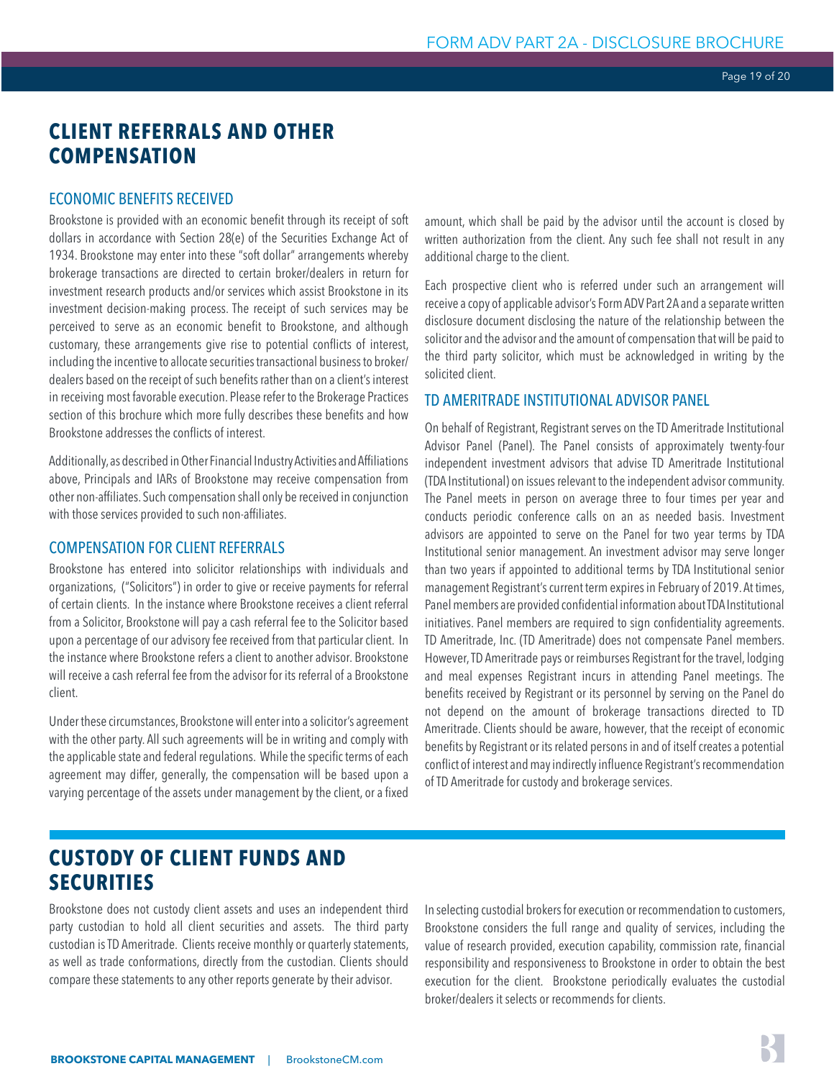# <span id="page-18-0"></span>**CLIENT REFERRALS AND OTHER COMPENSATION**

# ECONOMIC BENEFITS RECEIVED

Brookstone is provided with an economic benefit through its receipt of soft dollars in accordance with Section 28(e) of the Securities Exchange Act of 1934. Brookstone may enter into these "soft dollar" arrangements whereby brokerage transactions are directed to certain broker/dealers in return for investment research products and/or services which assist Brookstone in its investment decision-making process. The receipt of such services may be perceived to serve as an economic benefit to Brookstone, and although customary, these arrangements give rise to potential conflicts of interest, including the incentive to allocate securities transactional business to broker/ dealers based on the receipt of such benefits rather than on a client's interest in receiving most favorable execution. Please refer to the Brokerage Practices section of this brochure which more fully describes these benefits and how Brookstone addresses the conflicts of interest.

Additionally, as described in Other Financial Industry Activities and Affiliations above, Principals and IARs of Brookstone may receive compensation from other non-affiliates. Such compensation shall only be received in conjunction with those services provided to such non-affiliates.

# COMPENSATION FOR CLIENT REFERRALS

Brookstone has entered into solicitor relationships with individuals and organizations, ("Solicitors") in order to give or receive payments for referral of certain clients. In the instance where Brookstone receives a client referral from a Solicitor, Brookstone will pay a cash referral fee to the Solicitor based upon a percentage of our advisory fee received from that particular client. In the instance where Brookstone refers a client to another advisor. Brookstone will receive a cash referral fee from the advisor for its referral of a Brookstone client.

Under these circumstances, Brookstone will enter into a solicitor's agreement with the other party. All such agreements will be in writing and comply with the applicable state and federal regulations. While the specific terms of each agreement may differ, generally, the compensation will be based upon a varying percentage of the assets under management by the client, or a fixed amount, which shall be paid by the advisor until the account is closed by written authorization from the client. Any such fee shall not result in any additional charge to the client.

Each prospective client who is referred under such an arrangement will receive a copy of applicable advisor's Form ADV Part 2A and a separate written disclosure document disclosing the nature of the relationship between the solicitor and the advisor and the amount of compensation that will be paid to the third party solicitor, which must be acknowledged in writing by the solicited client.

# TD AMERITRADE INSTITUTIONAL ADVISOR PANEL

On behalf of Registrant, Registrant serves on the TD Ameritrade Institutional Advisor Panel (Panel). The Panel consists of approximately twenty-four independent investment advisors that advise TD Ameritrade Institutional (TDA Institutional) on issues relevant to the independent advisor community. The Panel meets in person on average three to four times per year and conducts periodic conference calls on an as needed basis. Investment advisors are appointed to serve on the Panel for two year terms by TDA Institutional senior management. An investment advisor may serve longer than two years if appointed to additional terms by TDA Institutional senior management Registrant's current term expires in February of 2019. At times, Panel members are provided confidential information about TDA Institutional initiatives. Panel members are required to sign confidentiality agreements. TD Ameritrade, Inc. (TD Ameritrade) does not compensate Panel members. However, TD Ameritrade pays or reimburses Registrant for the travel, lodging and meal expenses Registrant incurs in attending Panel meetings. The benefits received by Registrant or its personnel by serving on the Panel do not depend on the amount of brokerage transactions directed to TD Ameritrade. Clients should be aware, however, that the receipt of economic benefits by Registrant or its related persons in and of itself creates a potential conflict of interest and may indirectly influence Registrant's recommendation of TD Ameritrade for custody and brokerage services.

# **CUSTODY OF CLIENT FUNDS AND SECURITIES**

Brookstone does not custody client assets and uses an independent third party custodian to hold all client securities and assets. The third party custodian is TD Ameritrade. Clients receive monthly or quarterly statements, as well as trade conformations, directly from the custodian. Clients should compare these statements to any other reports generate by their advisor.

In selecting custodial brokers for execution or recommendation to customers, Brookstone considers the full range and quality of services, including the value of research provided, execution capability, commission rate, financial responsibility and responsiveness to Brookstone in order to obtain the best execution for the client. Brookstone periodically evaluates the custodial broker/dealers it selects or recommends for clients.